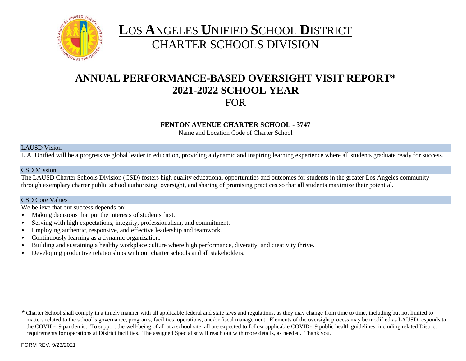

# **L**OS **A**NGELES **U**NIFIED **S**CHOOL **D**ISTRICT CHARTER SCHOOLS DIVISION

# **ANNUAL PERFORMANCE-BASED OVERSIGHT VISIT REPORT\* 2021-2022 SCHOOL YEAR** FOR

### **FENTON AVENUE CHARTER SCHOOL - 3747**

Name and Location Code of Charter School

### LAUSD Vision

L.A. Unified will be a progressive global leader in education, providing a dynamic and inspiring learning experience where all students graduate ready for success.

### CSD Mission

The LAUSD Charter Schools Division (CSD) fosters high quality educational opportunities and outcomes for students in the greater Los Angeles community through exemplary charter public school authorizing, oversight, and sharing of promising practices so that all students maximize their potential.

### CSD Core Values

We believe that our success depends on:

- Making decisions that put the interests of students first.
- Serving with high expectations, integrity, professionalism, and commitment.
- Employing authentic, responsive, and effective leadership and teamwork.
- Continuously learning as a dynamic organization.
- Building and sustaining a healthy workplace culture where high performance, diversity, and creativity thrive.
- Developing productive relationships with our charter schools and all stakeholders.

*\** Charter School shall comply in a timely manner with all applicable federal and state laws and regulations, as they may change from time to time, including but not limited to matters related to the school's governance, programs, facilities, operations, and/or fiscal management. Elements of the oversight process may be modified as LAUSD responds to the COVID-19 pandemic. To support the well-being of all at a school site, all are expected to follow applicable COVID-19 public health guidelines, including related District requirements for operations at District facilities. The assigned Specialist will reach out with more details, as needed. Thank you.

FORM REV. 9/23/2021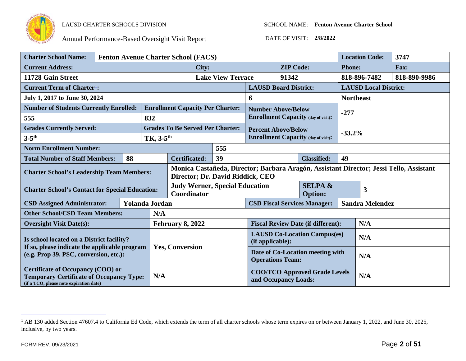

<span id="page-1-0"></span>

| <b>Charter School Name:</b>                                                                                                            |  | <b>Fenton Avenue Charter School (FACS)</b> |                         |                                                                                                                            |                                                               |                                                             |                                                                     |                                            | <b>Location Code:</b>                      | 3747         |        |  |
|----------------------------------------------------------------------------------------------------------------------------------------|--|--------------------------------------------|-------------------------|----------------------------------------------------------------------------------------------------------------------------|---------------------------------------------------------------|-------------------------------------------------------------|---------------------------------------------------------------------|--------------------------------------------|--------------------------------------------|--------------|--------|--|
| <b>Current Address:</b>                                                                                                                |  |                                            |                         | City:                                                                                                                      |                                                               | <b>ZIP Code:</b>                                            |                                                                     | <b>Phone:</b>                              |                                            | <b>Fax:</b>  |        |  |
| 11728 Gain Street                                                                                                                      |  |                                            |                         | <b>Lake View Terrace</b>                                                                                                   |                                                               | 91342                                                       |                                                                     |                                            | 818-896-7482                               | 818-890-9986 |        |  |
| <b>Current Term of Charter<sup>1</sup>:</b>                                                                                            |  |                                            |                         |                                                                                                                            |                                                               | <b>LAUSD Board District:</b>                                |                                                                     | <b>LAUSD Local District:</b>               |                                            |              |        |  |
| July 1, 2017 to June 30, 2024                                                                                                          |  |                                            |                         |                                                                                                                            |                                                               | 6                                                           |                                                                     | <b>Northeast</b>                           |                                            |              |        |  |
| <b>Number of Students Currently Enrolled:</b>                                                                                          |  |                                            |                         |                                                                                                                            |                                                               | <b>Enrollment Capacity Per Charter:</b>                     | <b>Number Above/Below</b>                                           |                                            |                                            |              |        |  |
| 555                                                                                                                                    |  |                                            | 832                     |                                                                                                                            |                                                               |                                                             |                                                                     | <b>Enrollment Capacity (day of visit):</b> |                                            |              | $-277$ |  |
| <b>Grades Currently Served:</b>                                                                                                        |  |                                            |                         |                                                                                                                            |                                                               | <b>Grades To Be Served Per Charter:</b>                     |                                                                     | <b>Percent Above/Below</b>                 |                                            |              |        |  |
| $3-5$ <sup>th</sup>                                                                                                                    |  |                                            | TK, 3-5 <sup>th</sup>   |                                                                                                                            |                                                               |                                                             |                                                                     |                                            | <b>Enrollment Capacity (day of visit):</b> | $-33.2%$     |        |  |
| <b>Norm Enrollment Number:</b>                                                                                                         |  |                                            |                         |                                                                                                                            |                                                               | 555                                                         |                                                                     |                                            |                                            |              |        |  |
| <b>Total Number of Staff Members:</b>                                                                                                  |  | 88                                         |                         | 39<br><b>Certificated:</b><br><b>Classified:</b>                                                                           |                                                               | 49                                                          |                                                                     |                                            |                                            |              |        |  |
| <b>Charter School's Leadership Team Members:</b>                                                                                       |  |                                            |                         | Monica Castañeda, Director; Barbara Aragón, Assistant Director; Jessi Tello, Assistant<br>Director; Dr. David Riddick, CEO |                                                               |                                                             |                                                                     |                                            |                                            |              |        |  |
| <b>Charter School's Contact for Special Education:</b>                                                                                 |  |                                            |                         | <b>SELPA &amp;</b><br><b>Judy Werner, Special Education</b><br>Coordinator<br><b>Option:</b>                               |                                                               |                                                             | 3                                                                   |                                            |                                            |              |        |  |
| <b>CSD Assigned Administrator:</b>                                                                                                     |  |                                            | <b>Yolanda Jordan</b>   |                                                                                                                            | <b>Sandra Melendez</b><br><b>CSD Fiscal Services Manager:</b> |                                                             |                                                                     |                                            |                                            |              |        |  |
| <b>Other School/CSD Team Members:</b>                                                                                                  |  |                                            | N/A                     |                                                                                                                            |                                                               |                                                             |                                                                     |                                            |                                            |              |        |  |
| <b>Oversight Visit Date(s):</b>                                                                                                        |  |                                            | <b>February 8, 2022</b> |                                                                                                                            | <b>Fiscal Review Date (if different):</b>                     |                                                             |                                                                     | N/A                                        |                                            |              |        |  |
| Is school located on a District facility?                                                                                              |  |                                            |                         |                                                                                                                            | <b>LAUSD Co-Location Campus(es)</b><br>(if applicable):       |                                                             |                                                                     | N/A                                        |                                            |              |        |  |
| If so, please indicate the applicable program<br>(e.g. Prop 39, PSC, conversion, etc.):                                                |  |                                            |                         | <b>Yes, Conversion</b>                                                                                                     |                                                               | Date of Co-Location meeting with<br><b>Operations Team:</b> |                                                                     |                                            | N/A                                        |              |        |  |
| <b>Certificate of Occupancy (COO) or</b><br><b>Temporary Certificate of Occupancy Type:</b><br>(if a TCO, please note expiration date) |  |                                            | N/A                     |                                                                                                                            |                                                               |                                                             | <b>COO/TCO Approved Grade Levels</b><br>N/A<br>and Occupancy Loads: |                                            |                                            |              |        |  |

<sup>&</sup>lt;sup>1</sup> AB 130 added Section 47607.4 to California Ed Code, which extends the term of all charter schools whose term expires on or between January 1, 2022, and June 30, 2025, inclusive, by two years.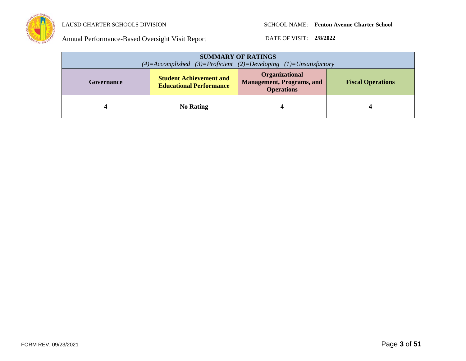

| <b>SUMMARY OF RATINGS</b><br>$(4)=$ Accomplished $(3)=$ Proficient $(2)=$ Developing $(1)=$ Unsatisfactory |                                                                  |                                                                                |                          |  |
|------------------------------------------------------------------------------------------------------------|------------------------------------------------------------------|--------------------------------------------------------------------------------|--------------------------|--|
| Governance                                                                                                 | <b>Student Achievement and</b><br><b>Educational Performance</b> | <b>Organizational</b><br><b>Management, Programs, and</b><br><b>Operations</b> | <b>Fiscal Operations</b> |  |
|                                                                                                            | <b>No Rating</b>                                                 | 4                                                                              |                          |  |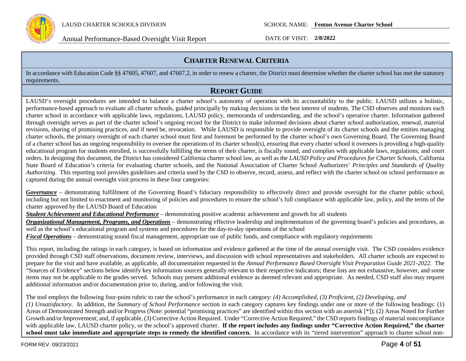

# **CHARTER RENEWAL CRITERIA**

In accordance with Education Code §§ 47605, 47607, and 47607.2, in order to renew a charter, the District must determine whether the charter school has met the statutory requirements.

# **REPORT GUIDE**

LAUSD's oversight procedures are intended to balance a charter school's autonomy of operation with its accountability to the public. LAUSD utilizes a holistic, performance-based approach to evaluate all charter schools, guided principally by making decisions in the best interest of students. The CSD observes and monitors each charter school in accordance with applicable laws, regulations, LAUSD policy, memoranda of understanding, and the school's operative charter. Information gathered through oversight serves as part of the charter school's ongoing record for the District to make informed decisions about charter school authorization, renewal, material revisions, sharing of promising practices, and if need be, revocation. While LAUSD is responsible to provide oversight of its charter schools and the entities managing charter schools, the primary oversight of each charter school must first and foremost be performed by the charter school's own Governing Board. The Governing Board of a charter school has an ongoing responsibility to oversee the operations of its charter school(s), ensuring that every charter school it oversees is providing a high-quality educational program for students enrolled, is successfully fulfilling the terms of their charter, is fiscally sound, and complies with applicable laws, regulations, and court orders. In designing this document, the District has considered California charter school law, as well as the *LAUSD Policy and Procedures for Charter Schools,* California State Board of Education's criteria for evaluating charter schools, and the National Association of Charter School Authorizers' *Principles and Standards of Quality Authorizing*. This reporting tool provides guidelines and criteria used by the CSD to observe, record, assess, and reflect with the charter school on school performance as captured during the annual oversight visit process in these four categories:

*Governance* – demonstrating fulfillment of the Governing Board's fiduciary responsibility to effectively direct and provide oversight for the charter public school, including but not limited to enactment and monitoring of policies and procedures to ensure the school's full compliance with applicable law, policy, and the terms of the charter approved by the LAUSD Board of Education

*Student Achievement and Educational Performance* – demonstrating positive academic achievement and growth for all students

*Organizational Management, Programs, and Operations* – demonstrating effective leadership and implementation of the governing board's policies and procedures, as well as the school's educational program and systems and procedures for the day-to-day operations of the school

*Fiscal Operations* – demonstrating sound fiscal management, appropriate use of public funds, and compliance with regulatory requirements

This report, including the ratings in each category, is based on information and evidence gathered at the time of the annual oversight visit. The CSD considers evidence provided through CSD staff observations, document review, interviews, and discussion with school representatives and stakeholders. All charter schools are expected to prepare for the visit and have available, as applicable, all documentation requested in the *Annual Performance Based Oversight Visit Preparation Guide 2021-2022.* The "Sources of Evidence" sections below identify key information sources generally relevant to their respective indicators; these lists are not exhaustive, however, and some items may not be applicable to the grades served. Schools may present additional evidence as deemed relevant and appropriate. As needed, CSD staff also may request additional information and/or documentation prior to, during, and/or following the visit.

The tool employs the following four-point rubric to rate the school's performance in each category: *(4) Accomplished, (3) Proficient, (2) Developing, and (1) Unsatisfactory*. In addition, the *Summary of School Performance* section in each category captures key findings under one or more of the following headings: (1) Areas of Demonstrated Strength and/or Progress (Note: potential "promising practices" are identified within this section with an asterisk [\*]); (2) Areas Noted for Further Growth and/or Improvement; and, if applicable, (3) Corrective Action Required. Under "Corrective Action Required," the CSD reports findings of material noncompliance with applicable law, LAUSD charter policy, or the school's approved charter. **If the report includes any findings under "Corrective Action Required," the charter**  school must take immediate and appropriate steps to remedy the identified concern. In accordance with its "tiered intervention" approach to charter school non-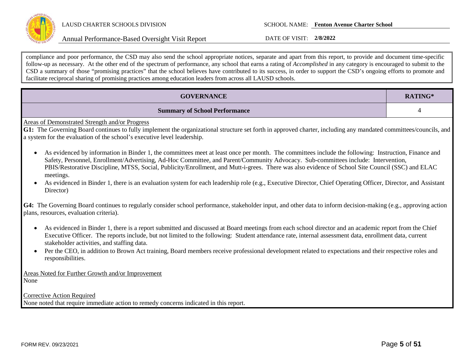

compliance and poor performance, the CSD may also send the school appropriate notices, separate and apart from this report, to provide and document time-specific follow-up as necessary. At the other end of the spectrum of performance, any school that earns a rating of *Accomplished* in any category is encouraged to submit to the CSD a summary of those "promising practices" that the school believes have contributed to its success, in order to support the CSD's ongoing efforts to promote and facilitate reciprocal sharing of promising practices among education leaders from across all LAUSD schools.

| <b>GOVERNANCE</b>                                                                                                                                                                                                                                                                                                                                                                                                                                                       | RATING* |  |  |  |
|-------------------------------------------------------------------------------------------------------------------------------------------------------------------------------------------------------------------------------------------------------------------------------------------------------------------------------------------------------------------------------------------------------------------------------------------------------------------------|---------|--|--|--|
| <b>Summary of School Performance</b>                                                                                                                                                                                                                                                                                                                                                                                                                                    | 4       |  |  |  |
| Areas of Demonstrated Strength and/or Progress<br>G1: The Governing Board continues to fully implement the organizational structure set forth in approved charter, including any mandated committees/councils, and<br>a system for the evaluation of the school's executive level leadership.                                                                                                                                                                           |         |  |  |  |
| As evidenced by information in Binder 1, the committees meet at least once per month. The committees include the following: Instruction, Finance and<br>$\bullet$<br>Safety, Personnel, Enrollment/Advertising, Ad-Hoc Committee, and Parent/Community Advocacy. Sub-committees include: Intervention,<br>PBIS/Restorative Discipline, MTSS, Social, Publicity/Enrollment, and Mutt-i-grees. There was also evidence of School Site Council (SSC) and ELAC<br>meetings. |         |  |  |  |
| As evidenced in Binder 1, there is an evaluation system for each leadership role (e.g., Executive Director, Chief Operating Officer, Director, and Assistant<br>Director)                                                                                                                                                                                                                                                                                               |         |  |  |  |
| G4: The Governing Board continues to regularly consider school performance, stakeholder input, and other data to inform decision-making (e.g., approving action<br>plans, resources, evaluation criteria).                                                                                                                                                                                                                                                              |         |  |  |  |
| As evidenced in Binder 1, there is a report submitted and discussed at Board meetings from each school director and an academic report from the Chief<br>$\bullet$<br>Executive Officer. The reports include, but not limited to the following: Student attendance rate, internal assessment data, enrollment data, current<br>stakeholder activities, and staffing data.                                                                                               |         |  |  |  |
| Per the CEO, in addition to Brown Act training, Board members receive professional development related to expectations and their respective roles and<br>$\bullet$<br>responsibilities.                                                                                                                                                                                                                                                                                 |         |  |  |  |
| Areas Noted for Further Growth and/or Improvement<br>None                                                                                                                                                                                                                                                                                                                                                                                                               |         |  |  |  |
| <b>Corrective Action Required</b><br>None noted that require immediate action to remedy concerns indicated in this report.                                                                                                                                                                                                                                                                                                                                              |         |  |  |  |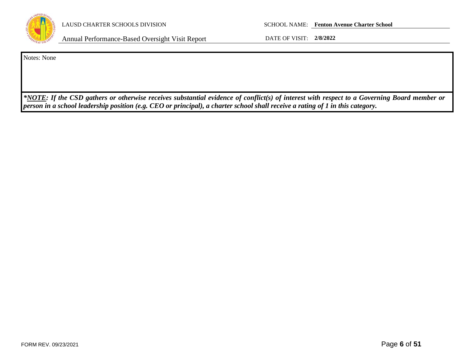

Notes: None

*\*NOTE: If the CSD gathers or otherwise receives substantial evidence of conflict(s) of interest with respect to a Governing Board member or person in a school leadership position (e.g. CEO or principal), a charter school shall receive a rating of 1 in this category.*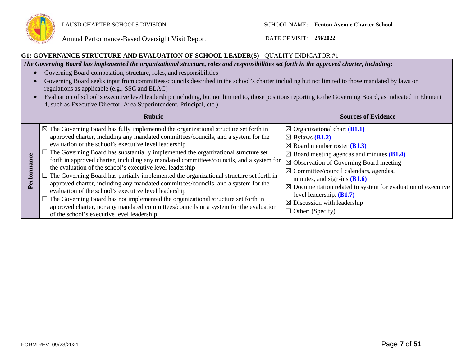

### **G1: GOVERNANCE STRUCTURE AND EVALUATION OF SCHOOL LEADER(S)** - QUALITY INDICATOR #1

*The Governing Board has implemented the organizational structure, roles and responsibilities set forth in the approved charter, including:*

- Governing Board composition, structure, roles, and responsibilities
- Governing Board seeks input from committees/councils described in the school's charter including but not limited to those mandated by laws or regulations as applicable (e.g., SSC and ELAC)
- Evaluation of school's executive level leadership (including, but not limited to, those positions reporting to the Governing Board, as indicated in Element 4, such as Executive Director, Area Superintendent, Principal, etc.)

|   | <b>Rubric</b>                                                                                                                                                                                                                                                                                                                                                                                                                                                                                                                                                                                                                                                                                                                                                                                                                                                                                                                                                                           | <b>Sources of Evidence</b>                                                                                                                                                                                                                                                                                                                                                                                                                                                                                 |
|---|-----------------------------------------------------------------------------------------------------------------------------------------------------------------------------------------------------------------------------------------------------------------------------------------------------------------------------------------------------------------------------------------------------------------------------------------------------------------------------------------------------------------------------------------------------------------------------------------------------------------------------------------------------------------------------------------------------------------------------------------------------------------------------------------------------------------------------------------------------------------------------------------------------------------------------------------------------------------------------------------|------------------------------------------------------------------------------------------------------------------------------------------------------------------------------------------------------------------------------------------------------------------------------------------------------------------------------------------------------------------------------------------------------------------------------------------------------------------------------------------------------------|
| Б | $\boxtimes$ The Governing Board has fully implemented the organizational structure set forth in<br>approved charter, including any mandated committees/councils, and a system for the<br>evaluation of the school's executive level leadership<br>$\Box$ The Governing Board has substantially implemented the organizational structure set<br>forth in approved charter, including any mandated committees/councils, and a system for<br>the evaluation of the school's executive level leadership<br>$\Box$ The Governing Board has partially implemented the organizational structure set forth in<br>approved charter, including any mandated committees/councils, and a system for the<br>evaluation of the school's executive level leadership<br>$\Box$ The Governing Board has not implemented the organizational structure set forth in<br>approved charter, nor any mandated committees/councils or a system for the evaluation<br>of the school's executive level leadership | $\boxtimes$ Organizational chart (B1.1)<br>$\boxtimes$ Bylaws ( <b>B1.2</b> )<br>$\boxtimes$ Board member roster (B1.3)<br>$\boxtimes$ Board meeting agendas and minutes (B1.4)<br>$\boxtimes$ Observation of Governing Board meeting<br>$\boxtimes$ Committee/council calendars, agendas,<br>minutes, and sign-ins $(B1.6)$<br>$\boxtimes$ Documentation related to system for evaluation of executive<br>level leadership. $(B1.7)$<br>$\boxtimes$ Discussion with leadership<br>$\Box$ Other: (Specify) |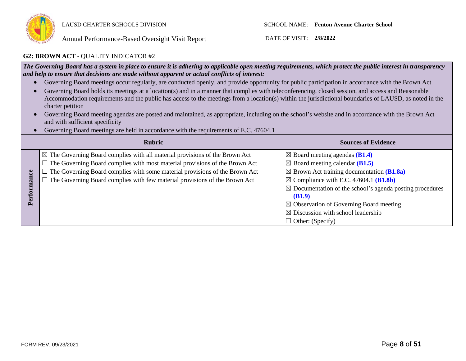

### **G2: BROWN ACT** - QUALITY INDICATOR #2

*The Governing Board has a system in place to ensure it is adhering to applicable open meeting requirements, which protect the public interest in transparency and help to ensure that decisions are made without apparent or actual conflicts of interest:*

- Governing Board meetings occur regularly, are conducted openly, and provide opportunity for public participation in accordance with the Brown Act
- Governing Board holds its meetings at a location(s) and in a manner that complies with teleconferencing, closed session, and access and Reasonable Accommodation requirements and the public has access to the meetings from a location(s) within the jurisdictional boundaries of LAUSD, as noted in the charter petition
- Governing Board meeting agendas are posted and maintained, as appropriate, including on the school's website and in accordance with the Brown Act and with sufficient specificity
- Governing Board meetings are held in accordance with the requirements of E.C. 47604.1

|       | <b>Rubric</b>                                                                                                                                                                                                                                                                                                                                           | <b>Sources of Evidence</b>                                                                                                                                                                                                                                                                                                                                                                                           |
|-------|---------------------------------------------------------------------------------------------------------------------------------------------------------------------------------------------------------------------------------------------------------------------------------------------------------------------------------------------------------|----------------------------------------------------------------------------------------------------------------------------------------------------------------------------------------------------------------------------------------------------------------------------------------------------------------------------------------------------------------------------------------------------------------------|
| erfor | $\boxtimes$ The Governing Board complies with all material provisions of the Brown Act<br>$\Box$ The Governing Board complies with most material provisions of the Brown Act<br>$\Box$ The Governing Board complies with some material provisions of the Brown Act<br>$\Box$ The Governing Board complies with few material provisions of the Brown Act | $\boxtimes$ Board meeting agendas (B1.4)<br>$\boxtimes$ Board meeting calendar (B1.5)<br>$\boxtimes$ Brown Act training documentation (B1.8a)<br>$\boxtimes$ Compliance with E.C. 47604.1 (B1.8b)<br>$\boxtimes$ Documentation of the school's agenda posting procedures<br>(B1.9)<br>$\boxtimes$ Observation of Governing Board meeting<br>$\boxtimes$ Discussion with school leadership<br>$\Box$ Other: (Specify) |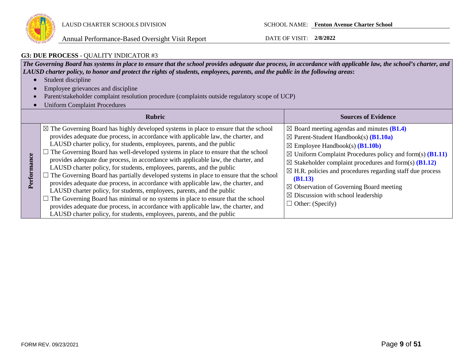

### **G3: DUE PROCESS** - QUALITY INDICATOR #3

*The Governing Board has systems in place to ensure that the school provides adequate due process, in accordance with applicable law, the school's charter, and LAUSD charter policy, to honor and protect the rights of students, employees, parents, and the public in the following areas***:**

- Student discipline
- Employee grievances and discipline
- Parent/stakeholder complaint resolution procedure (complaints outside regulatory scope of UCP)
- Uniform Complaint Procedures

|             | <b>Rubric</b>                                                                                                                                                                                                                                                                                                                                                                                                                                                                                                                                                                                                                                                                                                                                                                                                                                                                                                                                                                                                                                           | <b>Sources of Evidence</b>                                                                                                                                                                                                                                                                                                                                                                                                                                                                                                                      |
|-------------|---------------------------------------------------------------------------------------------------------------------------------------------------------------------------------------------------------------------------------------------------------------------------------------------------------------------------------------------------------------------------------------------------------------------------------------------------------------------------------------------------------------------------------------------------------------------------------------------------------------------------------------------------------------------------------------------------------------------------------------------------------------------------------------------------------------------------------------------------------------------------------------------------------------------------------------------------------------------------------------------------------------------------------------------------------|-------------------------------------------------------------------------------------------------------------------------------------------------------------------------------------------------------------------------------------------------------------------------------------------------------------------------------------------------------------------------------------------------------------------------------------------------------------------------------------------------------------------------------------------------|
| Performance | $\boxtimes$ The Governing Board has highly developed systems in place to ensure that the school<br>provides adequate due process, in accordance with applicable law, the charter, and<br>LAUSD charter policy, for students, employees, parents, and the public<br>$\Box$ The Governing Board has well-developed systems in place to ensure that the school<br>provides adequate due process, in accordance with applicable law, the charter, and<br>LAUSD charter policy, for students, employees, parents, and the public<br>$\Box$ The Governing Board has partially developed systems in place to ensure that the school<br>provides adequate due process, in accordance with applicable law, the charter, and<br>LAUSD charter policy, for students, employees, parents, and the public<br>$\Box$ The Governing Board has minimal or no systems in place to ensure that the school<br>provides adequate due process, in accordance with applicable law, the charter, and<br>LAUSD charter policy, for students, employees, parents, and the public | $\boxtimes$ Board meeting agendas and minutes (B1.4)<br>$\boxtimes$ Parent-Student Handbook(s) ( <b>B1.10a</b> )<br>$\boxtimes$ Employee Handbook(s) ( <b>B1.10b</b> )<br>$\boxtimes$ Uniform Complaint Procedures policy and form(s) ( <b>B1.11</b> )<br>$\boxtimes$ Stakeholder complaint procedures and form(s) (B1.12)<br>$\boxtimes$ H.R. policies and procedures regarding staff due process<br>(B1.13)<br>$\boxtimes$ Observation of Governing Board meeting<br>$\boxtimes$ Discussion with school leadership<br>$\Box$ Other: (Specify) |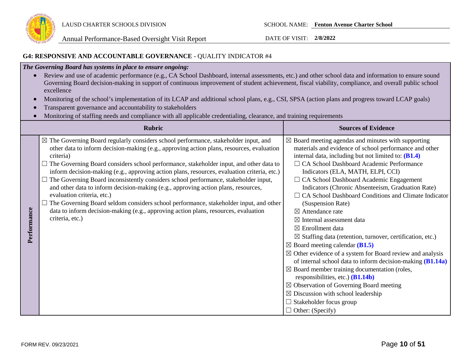

### **G4: RESPONSIVE AND ACCOUNTABLE GOVERNANCE** - QUALITY INDICATOR #4

### *The Governing Board has systems in place to ensure ongoing:*

- Review and use of academic performance (e.g., CA School Dashboard, internal assessments, etc.) and other school data and information to ensure sound Governing Board decision-making in support of continuous improvement of student achievement, fiscal viability, compliance, and overall public school excellence
- Monitoring of the school's implementation of its LCAP and additional school plans, e.g., CSI, SPSA (action plans and progress toward LCAP goals)
- Transparent governance and accountability to stakeholders
- Monitoring of staffing needs and compliance with all applicable credentialing, clearance, and training requirements

|             | <b>Rubric</b>                                                                                                                                                                                                                                                                                                                                                                                                                                                                                                                                                                                                                                                                                                                                                                                                          | <b>Sources of Evidence</b>                                                                                                                                                                                                                                                                                                                                                                                                                                                                                                                                                                                                                                                                                                                                                                                                                                                                                                                                                                                                                                                                    |
|-------------|------------------------------------------------------------------------------------------------------------------------------------------------------------------------------------------------------------------------------------------------------------------------------------------------------------------------------------------------------------------------------------------------------------------------------------------------------------------------------------------------------------------------------------------------------------------------------------------------------------------------------------------------------------------------------------------------------------------------------------------------------------------------------------------------------------------------|-----------------------------------------------------------------------------------------------------------------------------------------------------------------------------------------------------------------------------------------------------------------------------------------------------------------------------------------------------------------------------------------------------------------------------------------------------------------------------------------------------------------------------------------------------------------------------------------------------------------------------------------------------------------------------------------------------------------------------------------------------------------------------------------------------------------------------------------------------------------------------------------------------------------------------------------------------------------------------------------------------------------------------------------------------------------------------------------------|
| Performance | $\boxtimes$ The Governing Board regularly considers school performance, stakeholder input, and<br>other data to inform decision-making (e.g., approving action plans, resources, evaluation<br>criteria)<br>The Governing Board considers school performance, stakeholder input, and other data to<br>inform decision-making (e.g., approving action plans, resources, evaluation criteria, etc.)<br>The Governing Board inconsistently considers school performance, stakeholder input,<br>and other data to inform decision-making (e.g., approving action plans, resources,<br>evaluation criteria, etc.)<br>$\Box$ The Governing Board seldom considers school performance, stakeholder input, and other<br>data to inform decision-making (e.g., approving action plans, resources, evaluation<br>criteria, etc.) | $\boxtimes$ Board meeting agendas and minutes with supporting<br>materials and evidence of school performance and other<br>internal data, including but not limited to: (B1.4)<br>□ CA School Dashboard Academic Performance<br>Indicators (ELA, MATH, ELPI, CCI)<br>$\Box$ CA School Dashboard Academic Engagement<br>Indicators (Chronic Absenteeism, Graduation Rate)<br>CA School Dashboard Conditions and Climate Indicator<br>(Suspension Rate)<br>$\boxtimes$ Attendance rate<br>$\boxtimes$ Internal assessment data<br>$\boxtimes$ Enrollment data<br>$\boxtimes$ Staffing data (retention, turnover, certification, etc.)<br>$\boxtimes$ Board meeting calendar (B1.5)<br>$\boxtimes$ Other evidence of a system for Board review and analysis<br>of internal school data to inform decision-making $(B1.14a)$<br>$\boxtimes$ Board member training documentation (roles,<br>responsibilities, etc.) $(B1.14b)$<br>$\boxtimes$ Observation of Governing Board meeting<br>$\boxtimes$ Discussion with school leadership<br>$\Box$ Stakeholder focus group<br>$\Box$ Other: (Specify) |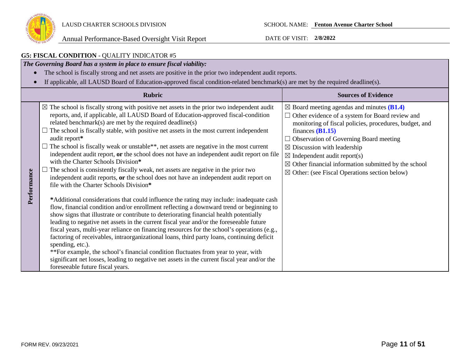

| <b>G5: FISCAL CONDITION - QUALITY INDICATOR #5</b>                                                                                                                                                                                                                                                                                                                                                                                                                                                                                                                                                                                                                                                                                                                                                                                                                                                                                                                                                                                                                                                                                                                                                                                                                                                                                                                                                                                                                                                                                                                                                                                                                      |                                                                                                                                                                                                                                                                                                                                                                                                                                                                     |  |  |  |
|-------------------------------------------------------------------------------------------------------------------------------------------------------------------------------------------------------------------------------------------------------------------------------------------------------------------------------------------------------------------------------------------------------------------------------------------------------------------------------------------------------------------------------------------------------------------------------------------------------------------------------------------------------------------------------------------------------------------------------------------------------------------------------------------------------------------------------------------------------------------------------------------------------------------------------------------------------------------------------------------------------------------------------------------------------------------------------------------------------------------------------------------------------------------------------------------------------------------------------------------------------------------------------------------------------------------------------------------------------------------------------------------------------------------------------------------------------------------------------------------------------------------------------------------------------------------------------------------------------------------------------------------------------------------------|---------------------------------------------------------------------------------------------------------------------------------------------------------------------------------------------------------------------------------------------------------------------------------------------------------------------------------------------------------------------------------------------------------------------------------------------------------------------|--|--|--|
| The Governing Board has a system in place to ensure fiscal viability:                                                                                                                                                                                                                                                                                                                                                                                                                                                                                                                                                                                                                                                                                                                                                                                                                                                                                                                                                                                                                                                                                                                                                                                                                                                                                                                                                                                                                                                                                                                                                                                                   |                                                                                                                                                                                                                                                                                                                                                                                                                                                                     |  |  |  |
| The school is fiscally strong and net assets are positive in the prior two independent audit reports.                                                                                                                                                                                                                                                                                                                                                                                                                                                                                                                                                                                                                                                                                                                                                                                                                                                                                                                                                                                                                                                                                                                                                                                                                                                                                                                                                                                                                                                                                                                                                                   |                                                                                                                                                                                                                                                                                                                                                                                                                                                                     |  |  |  |
| If applicable, all LAUSD Board of Education-approved fiscal condition-related benchmark(s) are met by the required deadline(s).                                                                                                                                                                                                                                                                                                                                                                                                                                                                                                                                                                                                                                                                                                                                                                                                                                                                                                                                                                                                                                                                                                                                                                                                                                                                                                                                                                                                                                                                                                                                         |                                                                                                                                                                                                                                                                                                                                                                                                                                                                     |  |  |  |
| <b>Rubric</b>                                                                                                                                                                                                                                                                                                                                                                                                                                                                                                                                                                                                                                                                                                                                                                                                                                                                                                                                                                                                                                                                                                                                                                                                                                                                                                                                                                                                                                                                                                                                                                                                                                                           | <b>Sources of Evidence</b>                                                                                                                                                                                                                                                                                                                                                                                                                                          |  |  |  |
| $\boxtimes$ The school is fiscally strong with positive net assets in the prior two independent audit<br>reports, and, if applicable, all LAUSD Board of Education-approved fiscal-condition<br>related benchmark(s) are met by the required deadline(s)<br>$\Box$ The school is fiscally stable, with positive net assets in the most current independent<br>audit report*<br>The school is fiscally weak or unstable**, net assets are negative in the most current<br>independent audit report, or the school does not have an independent audit report on file<br>with the Charter Schools Division*<br>The school is consistently fiscally weak, net assets are negative in the prior two<br>Performance<br>independent audit reports, or the school does not have an independent audit report on<br>file with the Charter Schools Division*<br>*Additional considerations that could influence the rating may include: inadequate cash<br>flow, financial condition and/or enrollment reflecting a downward trend or beginning to<br>show signs that illustrate or contribute to deteriorating financial health potentially<br>leading to negative net assets in the current fiscal year and/or the foreseeable future<br>fiscal years, multi-year reliance on financing resources for the school's operations (e.g.,<br>factoring of receivables, intraorganizational loans, third party loans, continuing deficit<br>spending, etc.).<br>**For example, the school's financial condition fluctuates from year to year, with<br>significant net losses, leading to negative net assets in the current fiscal year and/or the<br>foreseeable future fiscal years. | $\boxtimes$ Board meeting agendas and minutes (B1.4)<br>$\Box$ Other evidence of a system for Board review and<br>monitoring of fiscal policies, procedures, budget, and<br>finances $(B1.15)$<br>$\Box$ Observation of Governing Board meeting<br>$\boxtimes$ Discussion with leadership<br>$\boxtimes$ Independent audit report(s)<br>$\boxtimes$ Other financial information submitted by the school<br>$\boxtimes$ Other: (see Fiscal Operations section below) |  |  |  |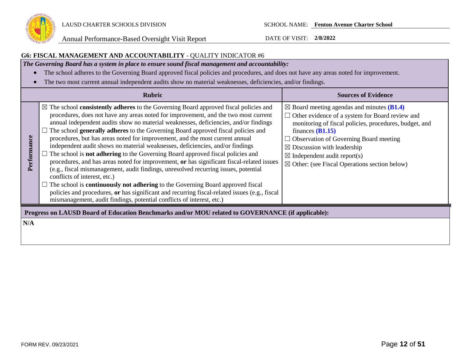

### **G6: FISCAL MANAGEMENT AND ACCOUNTABILITY** - QUALITY INDICATOR #6

*The Governing Board has a system in place to ensure sound fiscal management and accountability:*

- The school adheres to the Governing Board approved fiscal policies and procedures, and does not have any areas noted for improvement.
- The two most current annual independent audits show no material weaknesses, deficiencies, and/or findings.

|             | <b>Rubric</b>                                                                                                                                                                                                                                                                                                                                                                                                                                                                                                                                                                                                                                                                                                                                                                                                                                                                                                                                                                                                                                                                                                                     | <b>Sources of Evidence</b>                                                                                                                                                                                                                                                                                                                                                                |
|-------------|-----------------------------------------------------------------------------------------------------------------------------------------------------------------------------------------------------------------------------------------------------------------------------------------------------------------------------------------------------------------------------------------------------------------------------------------------------------------------------------------------------------------------------------------------------------------------------------------------------------------------------------------------------------------------------------------------------------------------------------------------------------------------------------------------------------------------------------------------------------------------------------------------------------------------------------------------------------------------------------------------------------------------------------------------------------------------------------------------------------------------------------|-------------------------------------------------------------------------------------------------------------------------------------------------------------------------------------------------------------------------------------------------------------------------------------------------------------------------------------------------------------------------------------------|
| Performance | $\boxtimes$ The school <b>consistently adheres</b> to the Governing Board approved fiscal policies and<br>procedures, does not have any areas noted for improvement, and the two most current<br>annual independent audits show no material weaknesses, deficiencies, and/or findings<br>The school generally adheres to the Governing Board approved fiscal policies and<br>procedures, but has areas noted for improvement, and the most current annual<br>independent audit shows no material weaknesses, deficiencies, and/or findings<br>The school is <b>not adhering</b> to the Governing Board approved fiscal policies and<br>procedures, and has areas noted for improvement, or has significant fiscal-related issues<br>(e.g., fiscal mismanagement, audit findings, unresolved recurring issues, potential<br>conflicts of interest, etc.)<br>$\Box$ The school is <b>continuously not adhering</b> to the Governing Board approved fiscal<br>policies and procedures, or has significant and recurring fiscal-related issues (e.g., fiscal<br>mismanagement, audit findings, potential conflicts of interest, etc.) | $\boxtimes$ Board meeting agendas and minutes (B1.4)<br>$\Box$ Other evidence of a system for Board review and<br>monitoring of fiscal policies, procedures, budget, and<br>finances $(B1.15)$<br>Observation of Governing Board meeting<br>$\boxtimes$ Discussion with leadership<br>$\boxtimes$ Independent audit report(s)<br>$\boxtimes$ Other: (see Fiscal Operations section below) |
| N/A         | Progress on LAUSD Board of Education Benchmarks and/or MOU related to GOVERNANCE (if applicable):                                                                                                                                                                                                                                                                                                                                                                                                                                                                                                                                                                                                                                                                                                                                                                                                                                                                                                                                                                                                                                 |                                                                                                                                                                                                                                                                                                                                                                                           |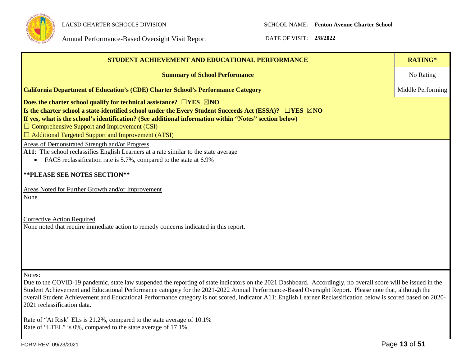

| <b>STUDENT ACHIEVEMENT AND EDUCATIONAL PERFORMANCE</b>                                                                                                                                                                                                                                                                                                                                                                                                                                                                            | RATING*           |
|-----------------------------------------------------------------------------------------------------------------------------------------------------------------------------------------------------------------------------------------------------------------------------------------------------------------------------------------------------------------------------------------------------------------------------------------------------------------------------------------------------------------------------------|-------------------|
| <b>Summary of School Performance</b>                                                                                                                                                                                                                                                                                                                                                                                                                                                                                              | No Rating         |
| <b>California Department of Education's (CDE) Charter School's Performance Category</b>                                                                                                                                                                                                                                                                                                                                                                                                                                           | Middle Performing |
| Does the charter school qualify for technical assistance? $\Box$ YES $\boxtimes$ NO<br>Is the charter school a state-identified school under the Every Student Succeeds Act (ESSA)? $\Box$ YES $\boxtimes$ NO<br>If yes, what is the school's identification? (See additional information within "Notes" section below)<br>$\Box$ Comprehensive Support and Improvement (CSI)<br>$\Box$ Additional Targeted Support and Improvement (ATSI)                                                                                        |                   |
| Areas of Demonstrated Strength and/or Progress<br>A11: The school reclassifies English Learners at a rate similar to the state average<br>FACS reclassification rate is 5.7%, compared to the state at 6.9%<br>** PLEASE SEE NOTES SECTION**                                                                                                                                                                                                                                                                                      |                   |
| Areas Noted for Further Growth and/or Improvement<br>None                                                                                                                                                                                                                                                                                                                                                                                                                                                                         |                   |
| <b>Corrective Action Required</b><br>None noted that require immediate action to remedy concerns indicated in this report.                                                                                                                                                                                                                                                                                                                                                                                                        |                   |
| Notes:<br>Due to the COVID-19 pandemic, state law suspended the reporting of state indicators on the 2021 Dashboard. Accordingly, no overall score will be issued in the<br>Student Achievement and Educational Performance category for the 2021-2022 Annual Performance-Based Oversight Report. Please note that, although the<br>overall Student Achievement and Educational Performance category is not scored, Indicator A11: English Learner Reclassification below is scored based on 2020-<br>2021 reclassification data. |                   |
| Rate of "At Risk" ELs is 21.2%, compared to the state average of 10.1%                                                                                                                                                                                                                                                                                                                                                                                                                                                            |                   |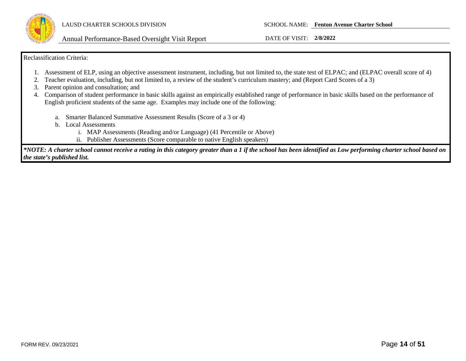

LAUSD CHARTER SCHOOLS DIVISION SCHOOL NAME: **Fenton Avenue Charter School**

Annual Performance-Based Oversight Visit Report DATE OF VISIT: **2/8/2022**

### Reclassification Criteria:

- 1. Assessment of ELP, using an objective assessment instrument, including, but not limited to, the state test of ELPAC; and (ELPAC overall score of 4)
- 2. Teacher evaluation, including, but not limited to, a review of the student's curriculum mastery; and (Report Card Scores of a 3)
- 3. Parent opinion and consultation; and
- 4. Comparison of student performance in basic skills against an empirically established range of performance in basic skills based on the performance of English proficient students of the same age. Examples may include one of the following:
	- a. Smarter Balanced Summative Assessment Results (Score of a 3 or 4)
	- b. Local Assessments
		- i. MAP Assessments (Reading and/or Language) (41 Percentile or Above)
		- ii. Publisher Assessments (Score comparable to native English speakers)

*\*NOTE: A charter school cannot receive a rating in this category greater than a 1 if the school has been identified as Low performing charter school based on the state's published list.*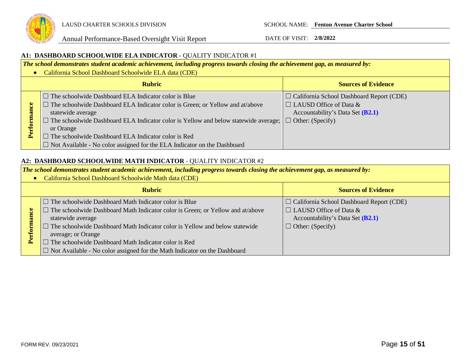

### **A1: DASHBOARD SCHOOLWIDE ELA INDICATOR -** QUALITY INDICATOR #1

*The school demonstrates student academic achievement, including progress towards closing the achievement gap, as measured by:*

• California School Dashboard Schoolwide ELA data (CDE) **Rubric Sources of Evidence**  $\Box$  The schoolwide Dashboard ELA Indicator color is Blue ☐ California School Dashboard Report (CDE)  $\Box$  The schoolwide Dashboard ELA Indicator color is Green; or Yellow and at/above  $\Box$  LAUSD Office of Data & Performance **Performance** Accountability's Data Set **(B2.1)** statewide average □ The schoolwide Dashboard ELA Indicator color is Yellow and below statewide average;  $\Box$  Other: (Specify) or Orange  $\Box$  The schoolwide Dashboard ELA Indicator color is Red □ Not Available - No color assigned for the ELA Indicator on the Dashboard

### **A2: DASHBOARD SCHOOLWIDE MATH INDICATOR** - QUALITY INDICATOR #2

*The school demonstrates student academic achievement, including progress towards closing the achievement gap, as measured by:*

• California School Dashboard Schoolwide Math data (CDE)

| <b>Rubric</b>                                                                      | <b>Sources of Evidence</b>                      |
|------------------------------------------------------------------------------------|-------------------------------------------------|
| $\Box$ The schoolwide Dashboard Math Indicator color is Blue                       | $\Box$ California School Dashboard Report (CDE) |
| The schoolwide Dashboard Math Indicator color is Green; or Yellow and at/above     | $\Box$ LAUSD Office of Data &                   |
| statewide average                                                                  | Accountability's Data Set (B2.1)                |
| $\Box$ The schoolwide Dashboard Math Indicator color is Yellow and below statewide | $\Box$ Other: (Specify)                         |
| average; or Orange                                                                 |                                                 |
| $\Box$ The schoolwide Dashboard Math Indicator color is Red                        |                                                 |
| $\Box$ Not Available - No color assigned for the Math Indicator on the Dashboard   |                                                 |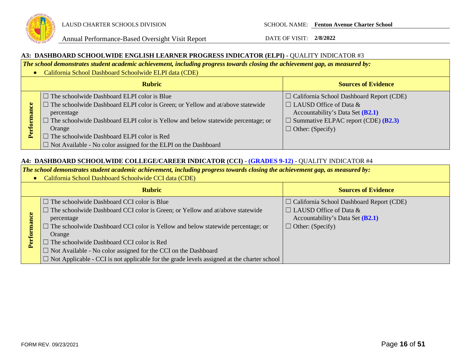

### **A3: DASHBOARD SCHOOLWIDE ENGLISH LEARNER PROGRESS INDICATOR (ELPI) -** QUALITY INDICATOR #3

*The school demonstrates student academic achievement, including progress towards closing the achievement gap, as measured by:*

• California School Dashboard Schoolwide ELPI data (CDE)

|     | <b>Rubric</b>                                                                                                                                                                                                                                                                                                                                                                                 | <b>Sources of Evidence</b>                                                                                                                                                                             |
|-----|-----------------------------------------------------------------------------------------------------------------------------------------------------------------------------------------------------------------------------------------------------------------------------------------------------------------------------------------------------------------------------------------------|--------------------------------------------------------------------------------------------------------------------------------------------------------------------------------------------------------|
| P., | $\Box$ The schoolwide Dashboard ELPI color is Blue<br>$\Box$ The schoolwide Dashboard ELPI color is Green; or Yellow and at/above statewide<br>percentage<br>$\Box$ The schoolwide Dashboard ELPI color is Yellow and below statewide percentage; or<br>Orange<br>$\Box$ The schoolwide Dashboard ELPI color is Red<br>$\Box$ Not Available - No color assigned for the ELPI on the Dashboard | $\Box$ California School Dashboard Report (CDE)<br>$\Box$ LAUSD Office of Data &<br>Accountability's Data Set (B2.1)<br>$\Box$ Summative ELPAC report (CDE) ( <b>B2.3</b> )<br>$\Box$ Other: (Specify) |

### **A4: DASHBOARD SCHOOLWIDE COLLEGE/CAREER INDICATOR (CCI)** - **(GRADES 9-12)** - QUALITY INDICATOR #4

*The school demonstrates student academic achievement, including progress towards closing the achievement gap, as measured by:*

• California School Dashboard Schoolwide CCI data (CDE)

|          | <b>Rubric</b>                                                                                                                                                                                                                                                                                                   | <b>Sources of Evidence</b>                                                                                                                      |
|----------|-----------------------------------------------------------------------------------------------------------------------------------------------------------------------------------------------------------------------------------------------------------------------------------------------------------------|-------------------------------------------------------------------------------------------------------------------------------------------------|
| ల<br>Per | $\Box$ The schoolwide Dashboard CCI color is Blue<br>$\Box$ The schoolwide Dashboard CCI color is Green; or Yellow and at/above statewide<br>percentage<br>$\Box$ The schoolwide Dashboard CCI color is Yellow and below statewide percentage; or<br>Orange<br>$\Box$ The schoolwide Dashboard CCI color is Red | $\Box$ California School Dashboard Report (CDE)<br>$\Box$ LAUSD Office of Data &<br>Accountability's Data Set (B2.1)<br>$\Box$ Other: (Specify) |
|          | $\Box$ Not Available - No color assigned for the CCI on the Dashboard                                                                                                                                                                                                                                           |                                                                                                                                                 |
|          | $\Box$ Not Applicable - CCI is not applicable for the grade levels assigned at the charter school                                                                                                                                                                                                               |                                                                                                                                                 |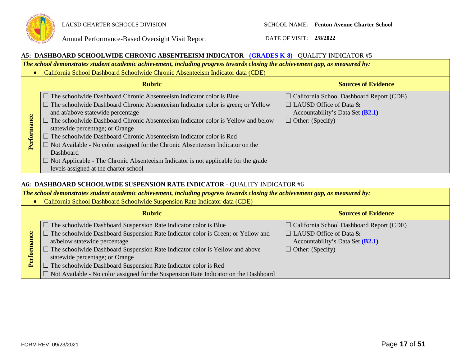

### **A5: DASHBOARD SCHOOLWIDE CHRONIC ABSENTEEISM INDICATOR** - **(GRADES K-8)** - QUALITY INDICATOR #5

*The school demonstrates student academic achievement, including progress towards closing the achievement gap, as measured by:*

• California School Dashboard Schoolwide Chronic Absenteeism Indicator data (CDE)

|                 | <b>Rubric</b>                                                                                                                                                                                                                                                                                                                                                                                                                                                                                                                                                                                                                                                       | <b>Sources of Evidence</b>                                                                                                                        |
|-----------------|---------------------------------------------------------------------------------------------------------------------------------------------------------------------------------------------------------------------------------------------------------------------------------------------------------------------------------------------------------------------------------------------------------------------------------------------------------------------------------------------------------------------------------------------------------------------------------------------------------------------------------------------------------------------|---------------------------------------------------------------------------------------------------------------------------------------------------|
| eoue<br>Perfori | $\Box$ The schoolwide Dashboard Chronic Absenteeism Indicator color is Blue<br>$\Box$ The schoolwide Dashboard Chronic Absenteeism Indicator color is green; or Yellow<br>and at/above statewide percentage<br>$\Box$ The schoolwide Dashboard Chronic Absenteeism Indicator color is Yellow and below<br>statewide percentage; or Orange<br>$\Box$ The schoolwide Dashboard Chronic Absenteeism Indicator color is Red<br>$\Box$ Not Available - No color assigned for the Chronic Absenteeism Indicator on the<br>Dashboard<br>$\Box$ Not Applicable - The Chronic Absenteeism Indicator is not applicable for the grade<br>levels assigned at the charter school | $\Box$ California School Dashboard Report (CDE)<br>$\Box$ LAUSD Office of Data &<br>Accountability's Data Set $(B2.1)$<br>$\Box$ Other: (Specify) |

### **A6: DASHBOARD SCHOOLWIDE SUSPENSION RATE INDICATOR** - QUALITY INDICATOR #6

*The school demonstrates student academic achievement, including progress towards closing the achievement gap, as measured by:*

• California School Dashboard Schoolwide Suspension Rate Indicator data (CDE)

| <b>Rubric</b>                                                                               | <b>Sources of Evidence</b>                      |
|---------------------------------------------------------------------------------------------|-------------------------------------------------|
| $\Box$ The schoolwide Dashboard Suspension Rate Indicator color is Blue                     | $\Box$ California School Dashboard Report (CDE) |
| $\Box$ The schoolwide Dashboard Suspension Rate Indicator color is Green; or Yellow and     | $\Box$ LAUSD Office of Data &                   |
| at/below statewide percentage                                                               | Accountability's Data Set (B2.1)                |
| $\Box$ The schoolwide Dashboard Suspension Rate Indicator color is Yellow and above         | $\Box$ Other: (Specify)                         |
| statewide percentage; or Orange                                                             |                                                 |
| $\Box$ The schoolwide Dashboard Suspension Rate Indicator color is Red                      |                                                 |
| $\Box$ Not Available - No color assigned for the Suspension Rate Indicator on the Dashboard |                                                 |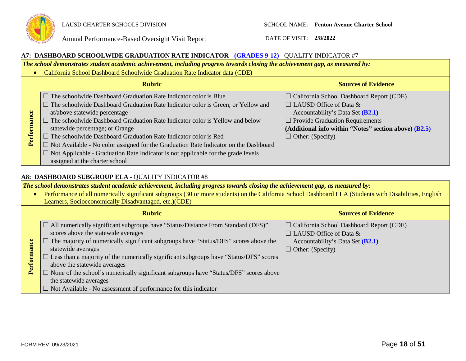

### **A7: DASHBOARD SCHOOLWIDE GRADUATION RATE INDICATOR - (GRADES 9-12)** - QUALITY INDICATOR #7

*The school demonstrates student academic achievement, including progress towards closing the achievement gap, as measured by:*

• California School Dashboard Schoolwide Graduation Rate Indicator data (CDE)

| <b>Rubric</b> |                                                                                                                                                                                                                                                                                                                                                                                                                                                                                                                                                                                                                                      | <b>Sources of Evidence</b>                                                                                                                                                                                                                                 |
|---------------|--------------------------------------------------------------------------------------------------------------------------------------------------------------------------------------------------------------------------------------------------------------------------------------------------------------------------------------------------------------------------------------------------------------------------------------------------------------------------------------------------------------------------------------------------------------------------------------------------------------------------------------|------------------------------------------------------------------------------------------------------------------------------------------------------------------------------------------------------------------------------------------------------------|
| Performance   | $\Box$ The schoolwide Dashboard Graduation Rate Indicator color is Blue<br>$\Box$ The schoolwide Dashboard Graduation Rate Indicator color is Green; or Yellow and<br>at/above statewide percentage<br>$\Box$ The schoolwide Dashboard Graduation Rate Indicator color is Yellow and below<br>statewide percentage; or Orange<br>$\Box$ The schoolwide Dashboard Graduation Rate Indicator color is Red<br>$\Box$ Not Available - No color assigned for the Graduation Rate Indicator on the Dashboard<br>$\Box$ Not Applicable - Graduation Rate Indicator is not applicable for the grade levels<br>assigned at the charter school | $\Box$ California School Dashboard Report (CDE)<br>$\Box$ LAUSD Office of Data &<br>Accountability's Data Set (B2.1)<br>$\Box$ Provide Graduation Requirements<br>$\vert$ (Additional info within "Notes" section above) (B2.5)<br>$\Box$ Other: (Specify) |

### **A8: DASHBOARD SUBGROUP ELA** - QUALITY INDICATOR #8

*The school demonstrates student academic achievement, including progress towards closing the achievement gap, as measured by:*

• Performance of all numerically significant subgroups (30 or more students) on the California School Dashboard ELA (Students with Disabilities, English Learners, Socioeconomically Disadvantaged, etc.)(CDE) **Rubric Sources of Evidence**  $\Box$  All numerically significant subgroups have "Status/Distance From Standard (DFS)" ☐ California School Dashboard Report (CDE) scores above the statewide averages  $\Box$  LAUSD Office of Data &  $\Box$  The majority of numerically significant subgroups have "Status/DFS" scores above the Performance Accountability's Data Set **(B2.1) Performance** statewide averages  $\Box$  Other: (Specify)  $\square$  Less than a majority of the numerically significant subgroups have "Status/DFS" scores above the statewide averages  $\Box$  None of the school's numerically significant subgroups have "Status/DFS" scores above the statewide averages  $\Box$  Not Available - No assessment of performance for this indicator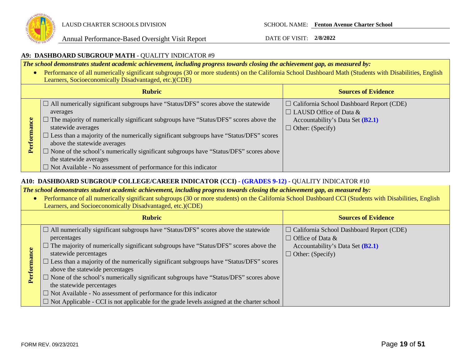

### **A9: DASHBOARD SUBGROUP MATH** - QUALITY INDICATOR #9

*The school demonstrates student academic achievement, including progress towards closing the achievement gap, as measured by:*

• Performance of all numerically significant subgroups (30 or more students) on the California School Dashboard Math (Students with Disabilities, English Learners, Socioeconomically Disadvantaged, etc.)(CDE)

| <b>Rubric</b> |                                                                                                                                                                                                                                                                                                                                                                                                                                                                                                                                                                 | <b>Sources of Evidence</b>                                                                                                                      |
|---------------|-----------------------------------------------------------------------------------------------------------------------------------------------------------------------------------------------------------------------------------------------------------------------------------------------------------------------------------------------------------------------------------------------------------------------------------------------------------------------------------------------------------------------------------------------------------------|-------------------------------------------------------------------------------------------------------------------------------------------------|
| Perforn       | $\Box$ All numerically significant subgroups have "Status/DFS" scores above the statewide<br>averages<br>$\Box$ The majority of numerically significant subgroups have "Status/DFS" scores above the<br>statewide averages<br>$\Box$ Less than a majority of the numerically significant subgroups have "Status/DFS" scores<br>above the statewide averages<br>$\Box$ None of the school's numerically significant subgroups have "Status/DFS" scores above<br>the statewide averages<br>$\Box$ Not Available - No assessment of performance for this indicator | $\Box$ California School Dashboard Report (CDE)<br>$\Box$ LAUSD Office of Data &<br>Accountability's Data Set (B2.1)<br>$\Box$ Other: (Specify) |

### **A10: DASHBOARD SUBGROUP COLLEGE/CAREER INDICATOR (CCI)** - **(GRADES 9-12)** - QUALITY INDICATOR #10

*The school demonstrates student academic achievement, including progress towards closing the achievement gap, as measured by:*

• Performance of all numerically significant subgroups (30 or more students) on the California School Dashboard CCI (Students with Disabilities, English Learners, and Socioeconomically Disadvantaged, etc.)(CDE)

|             | <b>Rubric</b>                                                                                                                                                                                                                                                                                                                                                                                                                                                                                                                                                                                                                                                                       | <b>Sources of Evidence</b>                                                                                                                |
|-------------|-------------------------------------------------------------------------------------------------------------------------------------------------------------------------------------------------------------------------------------------------------------------------------------------------------------------------------------------------------------------------------------------------------------------------------------------------------------------------------------------------------------------------------------------------------------------------------------------------------------------------------------------------------------------------------------|-------------------------------------------------------------------------------------------------------------------------------------------|
| Performance | $\Box$ All numerically significant subgroups have "Status/DFS" scores above the statewide<br>percentages<br>$\Box$ The majority of numerically significant subgroups have "Status/DFS" scores above the<br>statewide percentages<br>$\square$ Less than a majority of the numerically significant subgroups have "Status/DFS" scores<br>above the statewide percentages<br>$\Box$ None of the school's numerically significant subgroups have "Status/DFS" scores above<br>the statewide percentages<br>$\Box$ Not Available - No assessment of performance for this indicator<br>$\Box$ Not Applicable - CCI is not applicable for the grade levels assigned at the charter school | $\Box$ California School Dashboard Report (CDE)<br>$\Box$ Office of Data &<br>Accountability's Data Set (B2.1)<br>$\Box$ Other: (Specify) |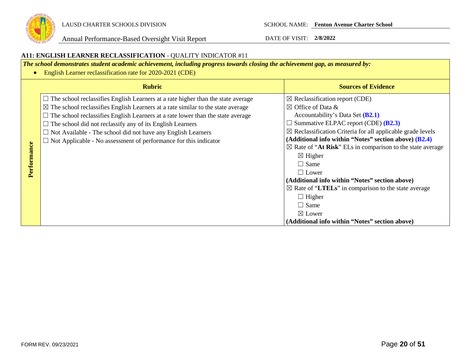

### **A11: ENGLISH LEARNER RECLASSIFICATION** - QUALITY INDICATOR #11

*The school demonstrates student academic achievement, including progress towards closing the achievement gap, as measured by:*

• English Learner reclassification rate for 2020-2021 (CDE)

|         | <b>Rubric</b>                                                                               | <b>Sources of Evidence</b>                                            |
|---------|---------------------------------------------------------------------------------------------|-----------------------------------------------------------------------|
|         | $\Box$ The school reclassifies English Learners at a rate higher than the state average     | $\boxtimes$ Reclassification report (CDE)                             |
|         | $\boxtimes$ The school reclassifies English Learners at a rate similar to the state average | $\boxtimes$ Office of Data &                                          |
|         | $\Box$ The school reclassifies English Learners at a rate lower than the state average      | Accountability's Data Set $(B2.1)$                                    |
|         | $\Box$ The school did not reclassify any of its English Learners                            | $\Box$ Summative ELPAC report (CDE) ( <b>B2.3</b> )                   |
|         | $\Box$ Not Available - The school did not have any English Learners                         | $\boxtimes$ Reclassification Criteria for all applicable grade levels |
|         | $\Box$ Not Applicable - No assessment of performance for this indicator                     | (Additional info within "Notes" section above) (B2.4)                 |
| ance    |                                                                                             | $\boxtimes$ Rate of "At Risk" ELs in comparison to the state average  |
|         |                                                                                             | $\boxtimes$ Higher                                                    |
| Perform |                                                                                             | $\Box$ Same                                                           |
|         |                                                                                             | $\Box$ Lower                                                          |
|         |                                                                                             | (Additional info within "Notes" section above)                        |
|         |                                                                                             | $\boxtimes$ Rate of "LTELs" in comparison to the state average        |
|         |                                                                                             | $\Box$ Higher                                                         |
|         |                                                                                             | $\Box$ Same                                                           |
|         |                                                                                             | $\boxtimes$ Lower                                                     |
|         |                                                                                             | (Additional info within "Notes" section above)                        |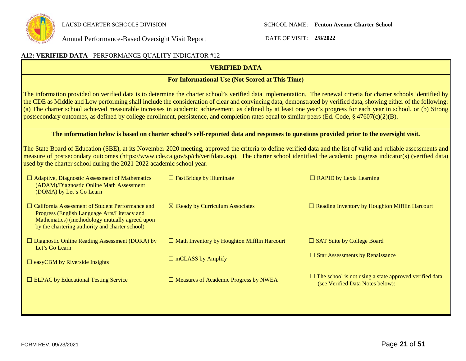

LAUSD CHARTER SCHOOLS DIVISION SCHOOL NAME: **Fenton Avenue Charter School**

| A12: VERIFIED DATA - PERFORMANCE QUALITY INDICATOR #12                                                                                                                                                                                                                                                                                                                                                                                                                                                                                                                                                                                                          |                                                                                                                                         |                                                                                                   |  |  |
|-----------------------------------------------------------------------------------------------------------------------------------------------------------------------------------------------------------------------------------------------------------------------------------------------------------------------------------------------------------------------------------------------------------------------------------------------------------------------------------------------------------------------------------------------------------------------------------------------------------------------------------------------------------------|-----------------------------------------------------------------------------------------------------------------------------------------|---------------------------------------------------------------------------------------------------|--|--|
|                                                                                                                                                                                                                                                                                                                                                                                                                                                                                                                                                                                                                                                                 | <b>VERIFIED DATA</b>                                                                                                                    |                                                                                                   |  |  |
|                                                                                                                                                                                                                                                                                                                                                                                                                                                                                                                                                                                                                                                                 | For Informational Use (Not Scored at This Time)                                                                                         |                                                                                                   |  |  |
| The information provided on verified data is to determine the charter school's verified data implementation. The renewal criteria for charter schools identified by<br>the CDE as Middle and Low performing shall include the consideration of clear and convincing data, demonstrated by verified data, showing either of the following:<br>(a) The charter school achieved measurable increases in academic achievement, as defined by at least one year's progress for each year in school, or (b) Strong<br>postsecondary outcomes, as defined by college enrollment, persistence, and completion rates equal to similar peers (Ed. Code, § 47607(c)(2)(B). |                                                                                                                                         |                                                                                                   |  |  |
|                                                                                                                                                                                                                                                                                                                                                                                                                                                                                                                                                                                                                                                                 | The information below is based on charter school's self-reported data and responses to questions provided prior to the oversight visit. |                                                                                                   |  |  |
| The State Board of Education (SBE), at its November 2020 meeting, approved the criteria to define verified data and the list of valid and reliable assessments and<br>measure of postsecondary outcomes (https://www.cde.ca.gov/sp/ch/verifdata.asp). The charter school identified the academic progress indicator(s) (verified data)<br>used by the charter school during the 2021-2022 academic school year.                                                                                                                                                                                                                                                 |                                                                                                                                         |                                                                                                   |  |  |
| $\Box$ Adaptive, Diagnostic Assessment of Mathematics<br>(ADAM)/Diagnostic Online Math Assessment<br>(DOMA) by Let's Go Learn                                                                                                                                                                                                                                                                                                                                                                                                                                                                                                                                   | $\Box$ FastBridge by Illuminate                                                                                                         | $\Box$ RAPID by Lexia Learning                                                                    |  |  |
| $\Box$ California Assessment of Student Performance and<br>Progress (English Language Arts/Literacy and<br>Mathematics) (methodology mutually agreed upon<br>by the chartering authority and charter school)                                                                                                                                                                                                                                                                                                                                                                                                                                                    | $\boxtimes$ iReady by Curriculum Associates                                                                                             | $\Box$ Reading Inventory by Houghton Mifflin Harcourt                                             |  |  |
| $\Box$ Diagnostic Online Reading Assessment (DORA) by<br>Let's Go Learn                                                                                                                                                                                                                                                                                                                                                                                                                                                                                                                                                                                         | $\Box$ Math Inventory by Houghton Mifflin Harcourt                                                                                      | $\Box$ SAT Suite by College Board                                                                 |  |  |
| $\Box$ easyCBM by Riverside Insights                                                                                                                                                                                                                                                                                                                                                                                                                                                                                                                                                                                                                            | $\Box$ mCLASS by Amplify                                                                                                                | $\Box$ Star Assessments by Renaissance                                                            |  |  |
| $\Box$ ELPAC by Educational Testing Service                                                                                                                                                                                                                                                                                                                                                                                                                                                                                                                                                                                                                     | $\Box$ Measures of Academic Progress by NWEA                                                                                            | $\Box$ The school is not using a state approved verified data<br>(see Verified Data Notes below): |  |  |
|                                                                                                                                                                                                                                                                                                                                                                                                                                                                                                                                                                                                                                                                 |                                                                                                                                         |                                                                                                   |  |  |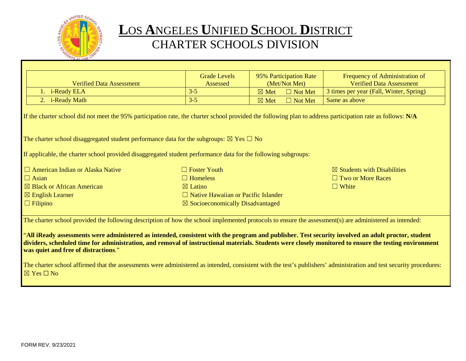

# **L**OS **A**NGELES **U**NIFIED **S**CHOOL **D**ISTRICT CHARTER SCHOOLS DIVISION

|                                                                                                                                                                                                                                                                                                                                                      | <b>Grade Levels</b>                        | 95% Participation Rate            | Frequency of Administration of          |  |  |
|------------------------------------------------------------------------------------------------------------------------------------------------------------------------------------------------------------------------------------------------------------------------------------------------------------------------------------------------------|--------------------------------------------|-----------------------------------|-----------------------------------------|--|--|
| <b>Verified Data Assessment</b>                                                                                                                                                                                                                                                                                                                      | Assessed                                   | (Met/Not Met)                     | <b>Verified Data Assessment</b>         |  |  |
| 1. i-Ready ELA                                                                                                                                                                                                                                                                                                                                       | $3 - 5$                                    | $\boxtimes$ Met<br>$\Box$ Not Met | 3 times per year (Fall, Winter, Spring) |  |  |
| 2. i-Ready Math                                                                                                                                                                                                                                                                                                                                      | $3 - 5$                                    | $\boxtimes$ Met<br>$\Box$ Not Met | Same as above                           |  |  |
| If the charter school did not meet the 95% participation rate, the charter school provided the following plan to address participation rate as follows: N/A                                                                                                                                                                                          |                                            |                                   |                                         |  |  |
| The charter school disaggregated student performance data for the subgroups: $\boxtimes$ Yes $\Box$ No                                                                                                                                                                                                                                               |                                            |                                   |                                         |  |  |
| If applicable, the charter school provided disaggregated student performance data for the following subgroups:                                                                                                                                                                                                                                       |                                            |                                   |                                         |  |  |
| $\Box$ American Indian or Alaska Native                                                                                                                                                                                                                                                                                                              | $\Box$ Foster Youth                        |                                   | $\boxtimes$ Students with Disabilities  |  |  |
| $\Box$ Asian                                                                                                                                                                                                                                                                                                                                         | $\Box$ Homeless                            |                                   | $\Box$ Two or More Races                |  |  |
| $\boxtimes$ Black or African American                                                                                                                                                                                                                                                                                                                | $\boxtimes$ Latino                         |                                   | $\Box$ White                            |  |  |
| $\boxtimes$ English Learner                                                                                                                                                                                                                                                                                                                          | $\Box$ Native Hawaiian or Pacific Islander |                                   |                                         |  |  |
| $\Box$ Filipino<br>$\boxtimes$ Socioeconomically Disadvantaged                                                                                                                                                                                                                                                                                       |                                            |                                   |                                         |  |  |
| The charter school provided the following description of how the school implemented protocols to ensure the assessment(s) are administered as intended:                                                                                                                                                                                              |                                            |                                   |                                         |  |  |
| "All iReady assessments were administered as intended, consistent with the program and publisher. Test security involved an adult proctor, student<br>dividers, scheduled time for administration, and removal of instructional materials. Students were closely monitored to ensure the testing environment<br>was quiet and free of distractions." |                                            |                                   |                                         |  |  |
| The charter school affirmed that the assessments were administered as intended, consistent with the test's publishers' administration and test security procedures:<br>$\boxtimes$ Yes $\Box$ No                                                                                                                                                     |                                            |                                   |                                         |  |  |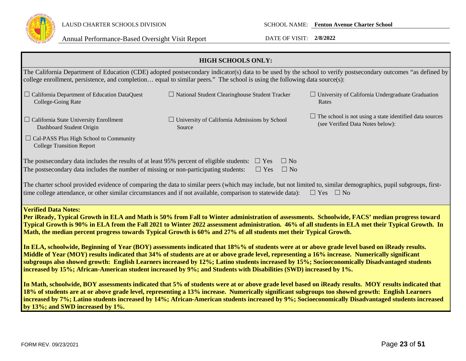

LAUSD CHARTER SCHOOLS DIVISION SCHOOL NAME: **Fenton Avenue Charter School**

| <b>HIGH SCHOOLS ONLY:</b>                                                                                                                                                                                                                                                                                                                                                                                                                                                                                                                                          |                                                                |                                                                                             |  |  |
|--------------------------------------------------------------------------------------------------------------------------------------------------------------------------------------------------------------------------------------------------------------------------------------------------------------------------------------------------------------------------------------------------------------------------------------------------------------------------------------------------------------------------------------------------------------------|----------------------------------------------------------------|---------------------------------------------------------------------------------------------|--|--|
| The California Department of Education (CDE) adopted postsecondary indicator(s) data to be used by the school to verify postsecondary outcomes "as defined by<br>college enrollment, persistence, and completion equal to similar peers." The school is using the following data source(s):                                                                                                                                                                                                                                                                        |                                                                |                                                                                             |  |  |
| $\Box$ California Department of Education DataQuest<br>College-Going Rate                                                                                                                                                                                                                                                                                                                                                                                                                                                                                          | $\Box$ National Student Clearinghouse Student Tracker          | $\Box$ University of California Undergraduate Graduation<br>Rates                           |  |  |
| $\Box$ California State University Enrollment<br>Dashboard Student Origin                                                                                                                                                                                                                                                                                                                                                                                                                                                                                          | $\Box$ University of California Admissions by School<br>Source | The school is not using a state identified data sources<br>(see Verified Data Notes below): |  |  |
| $\Box$ Cal-PASS Plus High School to Community<br><b>College Transition Report</b>                                                                                                                                                                                                                                                                                                                                                                                                                                                                                  |                                                                |                                                                                             |  |  |
| The postsecondary data includes the results of at least 95% percent of eligible students:                                                                                                                                                                                                                                                                                                                                                                                                                                                                          | $\Box$ No<br>$\Box$ Yes                                        |                                                                                             |  |  |
| The postsecondary data includes the number of missing or non-participating students:                                                                                                                                                                                                                                                                                                                                                                                                                                                                               | $\Box$ No<br>$\Box$ Yes                                        |                                                                                             |  |  |
| The charter school provided evidence of comparing the data to similar peers (which may include, but not limited to, similar demographics, pupil subgroups, first-<br>time college attendance, or other similar circumstances and if not available, comparison to statewide data):<br>$\Box$ Yes $\Box$ No                                                                                                                                                                                                                                                          |                                                                |                                                                                             |  |  |
| <b>Verified Data Notes:</b><br>Per iReady, Typical Growth in ELA and Math is 50% from Fall to Winter administration of assessments. Schoolwide, FACS' median progress toward<br>Typical Growth is 90% in ELA from the Fall 2021 to Winter 2022 assessment administration. 46% of all students in ELA met their Typical Growth. In<br>Math, the median percent progress towards Typical Growth is 60% and 27% of all students met their Typical Growth.                                                                                                             |                                                                |                                                                                             |  |  |
| In ELA, schoolwide, Beginning of Year (BOY) assessments indicated that 18%% of students were at or above grade level based on iReady results.<br>Middle of Year (MOY) results indicated that 34% of students are at or above grade level, representing a 16% increase. Numerically significant<br>subgroups also showed growth: English Learners increased by 12%; Latino students increased by 15%; Socioeconomically Disadvantaged students<br>increased by 15%; African-American student increased by 9%; and Students with Disabilities (SWD) increased by 1%. |                                                                |                                                                                             |  |  |
| In Math, schoolwide, BOY assessments indicated that 5% of students were at or above grade level based on iReady results. MOY results indicated that<br>18% of students are at or above grade level, representing a 13% increase. Numerically significant subgroups too showed growth: English Learners<br>increased by 7%; Latino students increased by 14%; African-American students increased by 9%; Socioeconomically Disadvantaged students increased<br>by 13%; and SWD increased by 1%.                                                                     |                                                                |                                                                                             |  |  |
|                                                                                                                                                                                                                                                                                                                                                                                                                                                                                                                                                                    |                                                                |                                                                                             |  |  |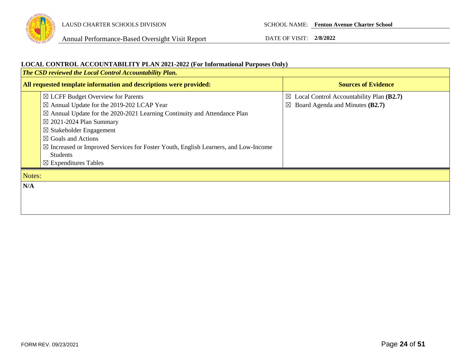

### **LOCAL CONTROL ACCOUNTABILITY PLAN 2021-2022 (For Informational Purposes Only)**

| The CSD reviewed the Local Control Accountability Plan.            |                                                                                                                                                                                                                                                                                                                                                                                                           |                                                                                                        |  |  |
|--------------------------------------------------------------------|-----------------------------------------------------------------------------------------------------------------------------------------------------------------------------------------------------------------------------------------------------------------------------------------------------------------------------------------------------------------------------------------------------------|--------------------------------------------------------------------------------------------------------|--|--|
| All requested template information and descriptions were provided: |                                                                                                                                                                                                                                                                                                                                                                                                           | <b>Sources of Evidence</b>                                                                             |  |  |
|                                                                    | $\boxtimes$ LCFF Budget Overview for Parents<br>$\boxtimes$ Annual Update for the 2019-202 LCAP Year<br>$\boxtimes$ Annual Update for the 2020-2021 Learning Continuity and Attendance Plan<br>$\boxtimes$ 2021-2024 Plan Summary<br>$\boxtimes$ Stakeholder Engagement<br>$\boxtimes$ Goals and Actions<br>$\boxtimes$ Increased or Improved Services for Foster Youth, English Learners, and Low-Income | $\boxtimes$ Local Control Accountability Plan (B2.7)<br>Board Agenda and Minutes (B2.7)<br>$\boxtimes$ |  |  |
|                                                                    | <b>Students</b><br>$\boxtimes$ Expenditures Tables                                                                                                                                                                                                                                                                                                                                                        |                                                                                                        |  |  |
|                                                                    | Notes:                                                                                                                                                                                                                                                                                                                                                                                                    |                                                                                                        |  |  |
| N/A                                                                |                                                                                                                                                                                                                                                                                                                                                                                                           |                                                                                                        |  |  |
|                                                                    |                                                                                                                                                                                                                                                                                                                                                                                                           |                                                                                                        |  |  |
|                                                                    |                                                                                                                                                                                                                                                                                                                                                                                                           |                                                                                                        |  |  |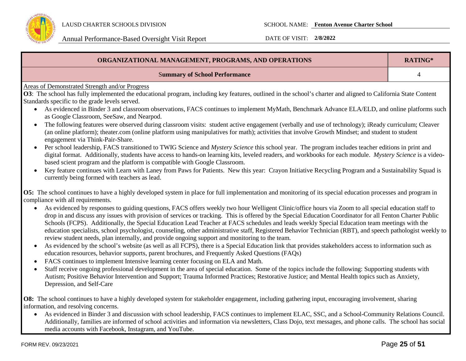

| ORGANIZATIONAL MANAGEMENT, PROGRAMS, AND OPERATIONS                                                                                                                                                                                                                                                                                                                                                                                                                                                                                                                                                                                                                                                                               |  |  |  |
|-----------------------------------------------------------------------------------------------------------------------------------------------------------------------------------------------------------------------------------------------------------------------------------------------------------------------------------------------------------------------------------------------------------------------------------------------------------------------------------------------------------------------------------------------------------------------------------------------------------------------------------------------------------------------------------------------------------------------------------|--|--|--|
| <b>Summary of School Performance</b>                                                                                                                                                                                                                                                                                                                                                                                                                                                                                                                                                                                                                                                                                              |  |  |  |
| <b>Areas of Demonstrated Strength and/or Progress</b>                                                                                                                                                                                                                                                                                                                                                                                                                                                                                                                                                                                                                                                                             |  |  |  |
| O3: The school has fully implemented the educational program, including key features, outlined in the school's charter and aligned to California State Content                                                                                                                                                                                                                                                                                                                                                                                                                                                                                                                                                                    |  |  |  |
| Standards specific to the grade levels served.                                                                                                                                                                                                                                                                                                                                                                                                                                                                                                                                                                                                                                                                                    |  |  |  |
| As evidenced in Binder 3 and classroom observations, FACS continues to implement MyMath, Benchmark Advance ELA/ELD, and online platforms such<br>as Google Classroom, SeeSaw, and Nearpod.                                                                                                                                                                                                                                                                                                                                                                                                                                                                                                                                        |  |  |  |
| The following features were observed during classroom visits: student active engagement (verbally and use of technology); iReady curriculum; Cleaver<br>(an online platform); theater.com (online platform using manipulatives for math); activities that involve Growth Mindset; and student to student<br>engagement via Think-Pair-Share.                                                                                                                                                                                                                                                                                                                                                                                      |  |  |  |
| Per school leadership, FACS transitioned to TWIG Science and Mystery Science this school year. The program includes teacher editions in print and<br>digital format. Additionally, students have access to hands-on learning kits, leveled readers, and workbooks for each module. Mystery Science is a video-<br>based scient program and the platform is compatible with Google Classroom.                                                                                                                                                                                                                                                                                                                                      |  |  |  |
| Key feature continues with Learn with Laney from Paws for Patients. New this year: Crayon Initiative Recycling Program and a Sustainability Squad is<br>currently being formed with teachers as lead.                                                                                                                                                                                                                                                                                                                                                                                                                                                                                                                             |  |  |  |
| <b>O5:</b> The school continues to have a highly developed system in place for full implementation and monitoring of its special education processes and program in                                                                                                                                                                                                                                                                                                                                                                                                                                                                                                                                                               |  |  |  |
| compliance with all requirements.                                                                                                                                                                                                                                                                                                                                                                                                                                                                                                                                                                                                                                                                                                 |  |  |  |
| As evidenced by responses to guiding questions, FACS offers weekly two hour Welligent Clinic/office hours via Zoom to all special education staff to<br>drop in and discuss any issues with provision of services or tracking. This is offered by the Special Education Coordinator for all Fenton Charter Public<br>Schools (FCPS). Additionally, the Special Education Lead Teacher at FACS schedules and leads weekly Special Education team meetings with the<br>education specialists, school psychologist, counseling, other administrative staff, Registered Behavior Technician (RBT), and speech pathologist weekly to<br>review student needs, plan internally, and provide ongoing support and monitoring to the team. |  |  |  |
| As evidenced by the school's website (as well as all FCPS), there is a Special Education link that provides stakeholders access to information such as<br>education resources, behavior supports, parent brochures, and Frequently Asked Questions (FAQs)                                                                                                                                                                                                                                                                                                                                                                                                                                                                         |  |  |  |
| FACS continues to implement Intensive learning center focusing on ELA and Math.                                                                                                                                                                                                                                                                                                                                                                                                                                                                                                                                                                                                                                                   |  |  |  |

• Staff receive ongoing professional development in the area of special education. Some of the topics include the following: Supporting students with Autism; Positive Behavior Intervention and Support; Trauma Informed Practices; Restorative Justice; and Mental Health topics such as Anxiety, Depression, and Self-Care

**O8:** The school continues to have a highly developed system for stakeholder engagement, including gathering input, encouraging involvement, sharing information, and resolving concerns.

• As evidenced in Binder 3 and discussion with school leadership, FACS continues to implement ELAC, SSC, and a School-Community Relations Council. Additionally, families are informed of school activities and information via newsletters, Class Dojo, text messages, and phone calls. The school has social media accounts with Facebook, Instagram, and YouTube.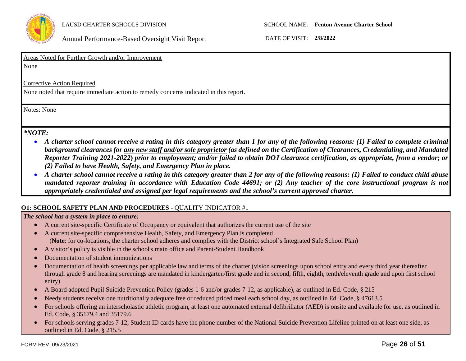

Areas Noted for Further Growth and/or Improvement

None

Corrective Action Required

None noted that require immediate action to remedy concerns indicated in this report.

Notes: None

### *\*NOTE:*

- *A charter school cannot receive a rating in this category greater than 1 for any of the following reasons: (1) Failed to complete criminal background clearances for any new staff and/or sole proprietor (as defined on the Certification of Clearances, Credentialing, and Mandated Reporter Training 2021-2022***)** *prior to employment; and/or failed to obtain DOJ clearance certification, as appropriate, from a vendor; or (2) Failed to have Health, Safety, and Emergency Plan in place.*
- *A charter school cannot receive a rating in this category greater than 2 for any of the following reasons: (1) Failed to conduct child abuse mandated reporter training in accordance with Education Code 44691; or (2) Any teacher of the core instructional program is not appropriately credentialed and assigned per legal requirements and the school's current approved charter.*

### **O1: SCHOOL SAFETY PLAN AND PROCEDURES** - QUALITY INDICATOR #1

### *The school has a system in place to ensure:*

- A current site-specific Certificate of Occupancy or equivalent that authorizes the current use of the site
- A current site-specific comprehensive Health, Safety, and Emergency Plan is completed (**Note**: for co-locations, the charter school adheres and complies with the District school's Integrated Safe School Plan)
- A visitor's policy is visible in the school's main office and Parent-Student Handbook
- Documentation of student immunizations
- Documentation of health screenings per applicable law and terms of the charter (vision screenings upon school entry and every third year thereafter through grade 8 and hearing screenings are mandated in kindergarten/first grade and in second, fifth, eighth, tenth/eleventh grade and upon first school entry)
- A Board adopted Pupil Suicide Prevention Policy (grades 1-6 and/or grades 7-12, as applicable), as outlined in Ed. Code, § 215
- Needy students receive one nutritionally adequate free or reduced priced meal each school day, as outlined in Ed. Code, § 47613.5
- For schools offering an interscholastic athletic program, at least one automated external defibrillator (AED) is onsite and available for use, as outlined in Ed. Code, § 35179.4 and 35179.6
- For schools serving grades 7-12, Student ID cards have the phone number of the National Suicide Prevention Lifeline printed on at least one side, as outlined in Ed. Code, § 215.5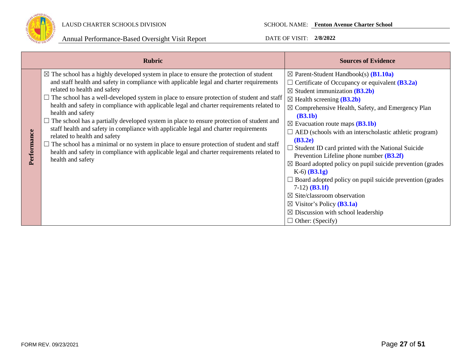

|             | <b>Rubric</b>                                                                                                                                                                                                                                                                                                                                                                                                                                                                                                                                                                                                                                                                                                                                                                                                                                                                         | <b>Sources of Evidence</b>                                                                                                                                                                                                                                                                                                                                                                                                                                                                                                                                                                                                                                                                                                                                                                                                                                                                                    |
|-------------|---------------------------------------------------------------------------------------------------------------------------------------------------------------------------------------------------------------------------------------------------------------------------------------------------------------------------------------------------------------------------------------------------------------------------------------------------------------------------------------------------------------------------------------------------------------------------------------------------------------------------------------------------------------------------------------------------------------------------------------------------------------------------------------------------------------------------------------------------------------------------------------|---------------------------------------------------------------------------------------------------------------------------------------------------------------------------------------------------------------------------------------------------------------------------------------------------------------------------------------------------------------------------------------------------------------------------------------------------------------------------------------------------------------------------------------------------------------------------------------------------------------------------------------------------------------------------------------------------------------------------------------------------------------------------------------------------------------------------------------------------------------------------------------------------------------|
| Performance | $\boxtimes$ The school has a highly developed system in place to ensure the protection of student<br>and staff health and safety in compliance with applicable legal and charter requirements<br>related to health and safety<br>$\Box$ The school has a well-developed system in place to ensure protection of student and staff<br>health and safety in compliance with applicable legal and charter requirements related to<br>health and safety<br>The school has a partially developed system in place to ensure protection of student and<br>staff health and safety in compliance with applicable legal and charter requirements<br>related to health and safety<br>The school has a minimal or no system in place to ensure protection of student and staff<br>health and safety in compliance with applicable legal and charter requirements related to<br>health and safety | $\boxtimes$ Parent-Student Handbook(s) ( <b>B1.10a</b> )<br>$\Box$ Certificate of Occupancy or equivalent ( <b>B3.2a</b> )<br>$\boxtimes$ Student immunization (B3.2b)<br>$\boxtimes$ Health screening ( <b>B3.2b</b> )<br>$\boxtimes$ Comprehensive Health, Safety, and Emergency Plan<br>(B3.1b)<br>$\boxtimes$ Evacuation route maps ( <b>B3.1b</b> )<br>$\Box$ AED (schools with an interscholastic athletic program)<br>(B3.2e)<br>$\Box$ Student ID card printed with the National Suicide<br>Prevention Lifeline phone number $(B3.2f)$<br>$\boxtimes$ Board adopted policy on pupil suicide prevention (grades<br>$K-6$ (B3.1g)<br>$\Box$ Board adopted policy on pupil suicide prevention (grades<br>$7-12)$ ( <b>B3.1f</b> )<br>$\boxtimes$ Site/classroom observation<br>$\boxtimes$ Visitor's Policy ( <b>B3.1a</b> )<br>$\boxtimes$ Discussion with school leadership<br>$\Box$ Other: (Specify) |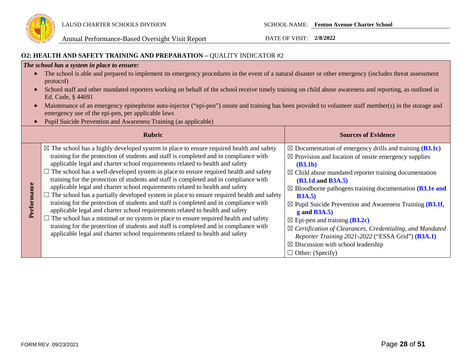

### **O2: HEALTH AND SAFETY TRAINING AND PREPARATION –** QUALITY INDICATOR #2

### *The school has a system in place to ensure:*

- The school is able and prepared to implement its emergency procedures in the event of a natural disaster or other emergency (includes threat assessment protocol)
- School staff and other mandated reporters working on behalf of the school receive timely training on child abuse awareness and reporting, as outlined in Ed. Code, § 44691
- Maintenance of an emergency epinephrine auto-injector ("epi-pen") onsite and training has been provided to volunteer staff member(s) in the storage and emergency use of the epi-pen, per applicable laws
- Pupil Suicide Prevention and Awareness Training (as applicable)

|             | <b>Rubric</b>                                                                                                                                                                                                                                                                                                                                                                                                                                                                                                                                                                                                                                                                                                                                                                                                                                                                                                                                                                                                                                                                                        | <b>Sources of Evidence</b>                                                                                                                                                                                                                                                                                                                                                                                                                                                                                                                                                                                                                                                                      |
|-------------|------------------------------------------------------------------------------------------------------------------------------------------------------------------------------------------------------------------------------------------------------------------------------------------------------------------------------------------------------------------------------------------------------------------------------------------------------------------------------------------------------------------------------------------------------------------------------------------------------------------------------------------------------------------------------------------------------------------------------------------------------------------------------------------------------------------------------------------------------------------------------------------------------------------------------------------------------------------------------------------------------------------------------------------------------------------------------------------------------|-------------------------------------------------------------------------------------------------------------------------------------------------------------------------------------------------------------------------------------------------------------------------------------------------------------------------------------------------------------------------------------------------------------------------------------------------------------------------------------------------------------------------------------------------------------------------------------------------------------------------------------------------------------------------------------------------|
| Performance | $\boxtimes$ The school has a highly developed system in place to ensure required health and safety<br>training for the protection of students and staff is completed and in compliance with<br>applicable legal and charter school requirements related to health and safety<br>$\Box$ The school has a well-developed system in place to ensure required health and safety<br>training for the protection of students and staff is completed and in compliance with<br>applicable legal and charter school requirements related to health and safety<br>$\Box$ The school has a partially developed system in place to ensure required health and safety<br>training for the protection of students and staff is completed and in compliance with<br>applicable legal and charter school requirements related to health and safety<br>The school has a minimal or no system in place to ensure required health and safety<br>training for the protection of students and staff is completed and in compliance with<br>applicable legal and charter school requirements related to health and safety | $\boxtimes$ Documentation of emergency drills and training (B3.1c)<br>$\boxtimes$ Provision and location of onsite emergency supplies<br>(B3.1b)<br>$\boxtimes$ Child abuse mandated reporter training documentation<br><b>(B3.1d and B3A.5)</b><br>$\boxtimes$ Bloodborne pathogens training documentation (B3.1e and<br><b>B3A.5</b> )<br>$\boxtimes$ Pupil Suicide Prevention and Awareness Training (B3.1f,<br>$g$ and B3A.5)<br>$\boxtimes$ Epi-pen and training ( <b>B3.2c</b> )<br>$\boxtimes$ Certification of Clearances, Credentialing, and Mandated<br>Reporter Training 2021-2022 ("ESSA Grid") (B3A.1)<br>$\boxtimes$ Discussion with school leadership<br>$\Box$ Other: (Specify) |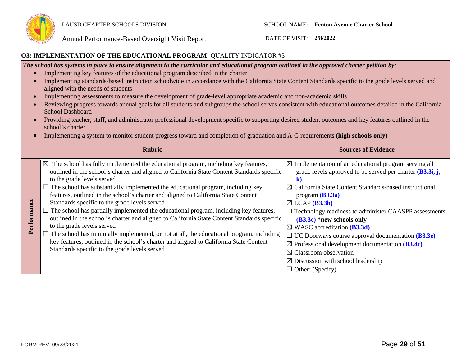

### **O3: IMPLEMENTATION OF THE EDUCATIONAL PROGRAM**- QUALITY INDICATOR #3

*The school has systems in place to ensure alignment to the curricular and educational program outlined in the approved charter petition by:* 

- Implementing key features of the educational program described in the charter
- Implementing standards-based instruction schoolwide in accordance with the California State Content Standards specific to the grade levels served and aligned with the needs of students
- Implementing assessments to measure the development of grade-level appropriate academic and non-academic skills
- Reviewing progress towards annual goals for all students and subgroups the school serves consistent with educational outcomes detailed in the California School Dashboard
- Providing teacher, staff, and administrator professional development specific to supporting desired student outcomes and key features outlined in the school's charter
- Implementing a system to monitor student progress toward and completion of graduation and A-G requirements (**high schools only**)

|             | <b>Rubric</b>                                                                                                                                                                                                                                                                                                                                                                                                                                                                                                                                                                                                                                                                                                                                                                                                                                                                                                                  | <b>Sources of Evidence</b>                                                                                                                                                                                                                                                                                                                                                                                                                                                                                                                                                                                                                                   |
|-------------|--------------------------------------------------------------------------------------------------------------------------------------------------------------------------------------------------------------------------------------------------------------------------------------------------------------------------------------------------------------------------------------------------------------------------------------------------------------------------------------------------------------------------------------------------------------------------------------------------------------------------------------------------------------------------------------------------------------------------------------------------------------------------------------------------------------------------------------------------------------------------------------------------------------------------------|--------------------------------------------------------------------------------------------------------------------------------------------------------------------------------------------------------------------------------------------------------------------------------------------------------------------------------------------------------------------------------------------------------------------------------------------------------------------------------------------------------------------------------------------------------------------------------------------------------------------------------------------------------------|
| Performance | $\boxtimes$ The school has fully implemented the educational program, including key features,<br>outlined in the school's charter and aligned to California State Content Standards specific<br>to the grade levels served<br>$\Box$ The school has substantially implemented the educational program, including key<br>features, outlined in the school's charter and aligned to California State Content<br>Standards specific to the grade levels served<br>$\Box$ The school has partially implemented the educational program, including key features,<br>outlined in the school's charter and aligned to California State Content Standards specific<br>to the grade levels served<br>The school has minimally implemented, or not at all, the educational program, including<br>key features, outlined in the school's charter and aligned to California State Content<br>Standards specific to the grade levels served | $\boxtimes$ Implementation of an educational program serving all<br>grade levels approved to be served per charter $(B3.3i, j,$<br>$\boxtimes$ California State Content Standards-based instructional<br>program $(B3.3a)$<br>$\boxtimes$ LCAP ( <b>B3.3b</b> )<br>$\Box$ Technology readiness to administer CAASPP assessments<br>$(B3.3c)$ *new schools only<br>$\boxtimes$ WASC accreditation (B3.3d)<br>$\Box$ UC Doorways course approval documentation ( <b>B3.3e</b> )<br>$\boxtimes$ Professional development documentation (B3.4c)<br>$\boxtimes$ Classroom observation<br>$\boxtimes$ Discussion with school leadership<br>$\Box$ Other: (Specify) |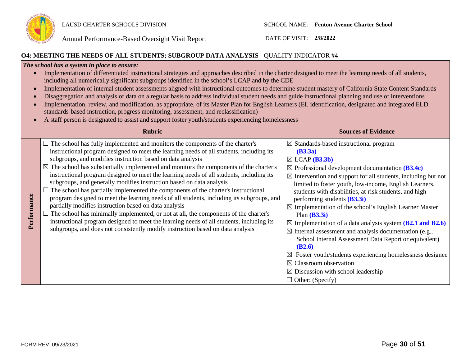

### **O4: MEETING THE NEEDS OF ALL STUDENTS; SUBGROUP DATA ANALYSIS -** QUALITY INDICATOR #4

### *The school has a system in place to ensure:*

| Implementation of differentiated instructional strategies and approaches described in the charter designed to meet the learning needs of all students, |
|--------------------------------------------------------------------------------------------------------------------------------------------------------|
| including all numerically significant subgroups identified in the school's LCAP and by the CDE                                                         |

- Implementation of internal student assessments aligned with instructional outcomes to determine student mastery of California State Content Standards
- Disaggregation and analysis of data on a regular basis to address individual student needs and guide instructional planning and use of interventions
- Implementation, review, and modification, as appropriate, of its Master Plan for English Learners (EL identification, designated and integrated ELD standards-based instruction, progress monitoring, assessment, and reclassification)
- A staff person is designated to assist and support foster youth/students experiencing homelessness

|             | <b>Rubric</b>                                                                                                                                                                                                                                                                                                                                                                                                                                                                                                                                                                                                                                                                                                                                                                                                                                                                                                                                                                                                                                           | <b>Sources of Evidence</b>                                                                                                                                                                                                                                                                                                                                                                                                                                                                                                                                                                                                                                                                                                                                                                                                                                                                  |
|-------------|---------------------------------------------------------------------------------------------------------------------------------------------------------------------------------------------------------------------------------------------------------------------------------------------------------------------------------------------------------------------------------------------------------------------------------------------------------------------------------------------------------------------------------------------------------------------------------------------------------------------------------------------------------------------------------------------------------------------------------------------------------------------------------------------------------------------------------------------------------------------------------------------------------------------------------------------------------------------------------------------------------------------------------------------------------|---------------------------------------------------------------------------------------------------------------------------------------------------------------------------------------------------------------------------------------------------------------------------------------------------------------------------------------------------------------------------------------------------------------------------------------------------------------------------------------------------------------------------------------------------------------------------------------------------------------------------------------------------------------------------------------------------------------------------------------------------------------------------------------------------------------------------------------------------------------------------------------------|
| Performance | $\Box$ The school has fully implemented and monitors the components of the charter's<br>instructional program designed to meet the learning needs of all students, including its<br>subgroups, and modifies instruction based on data analysis<br>$\boxtimes$ The school has substantially implemented and monitors the components of the charter's<br>instructional program designed to meet the learning needs of all students, including its<br>subgroups, and generally modifies instruction based on data analysis<br>$\Box$ The school has partially implemented the components of the charter's instructional<br>program designed to meet the learning needs of all students, including its subgroups, and<br>partially modifies instruction based on data analysis<br>$\Box$ The school has minimally implemented, or not at all, the components of the charter's<br>instructional program designed to meet the learning needs of all students, including its<br>subgroups, and does not consistently modify instruction based on data analysis | $\boxtimes$ Standards-based instructional program<br>(B3.3a)<br>$\boxtimes$ LCAP ( <b>B3.3b</b> )<br>$\boxtimes$ Professional development documentation (B3.4c)<br>$\boxtimes$ Intervention and support for all students, including but not<br>limited to foster youth, low-income, English Learners,<br>students with disabilities, at-risk students, and high<br>performing students (B3.3i)<br>$\boxtimes$ Implementation of the school's English Learner Master<br>Plan $(B3.3i)$<br>$\boxtimes$ Implementation of a data analysis system ( <b>B2.1 and B2.6</b> )<br>$\boxtimes$ Internal assessment and analysis documentation (e.g.,<br>School Internal Assessment Data Report or equivalent)<br>(B2.6)<br>Foster youth/students experiencing homelessness designee<br>$\boxtimes$ Classroom observation<br>$\boxtimes$ Discussion with school leadership<br>$\Box$ Other: (Specify) |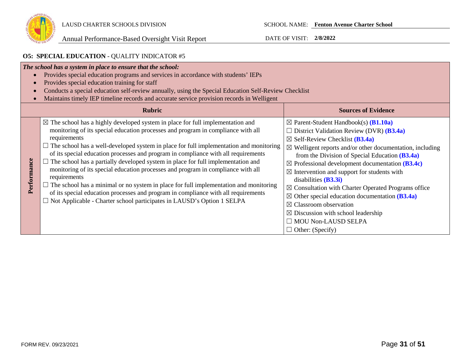

### **O5: SPECIAL EDUCATION** - QUALITY INDICATOR #5

| The school has a system in place to ensure that the school:<br>Provides special education programs and services in accordance with students' IEPs<br>Provides special education training for staff<br>Conducts a special education self-review annually, using the Special Education Self-Review Checklist<br>Maintains timely IEP timeline records and accurate service provision records in Welligent |                                                                                                                                                                                                                                                                                                                                                                                                                                                                                                                                                                                                                                                                                                                                                                                                                                                            |                                                                                                                                                                                                                                                                                                                                                                                                                                                                                                                                                                                                                                                                                                                                       |
|---------------------------------------------------------------------------------------------------------------------------------------------------------------------------------------------------------------------------------------------------------------------------------------------------------------------------------------------------------------------------------------------------------|------------------------------------------------------------------------------------------------------------------------------------------------------------------------------------------------------------------------------------------------------------------------------------------------------------------------------------------------------------------------------------------------------------------------------------------------------------------------------------------------------------------------------------------------------------------------------------------------------------------------------------------------------------------------------------------------------------------------------------------------------------------------------------------------------------------------------------------------------------|---------------------------------------------------------------------------------------------------------------------------------------------------------------------------------------------------------------------------------------------------------------------------------------------------------------------------------------------------------------------------------------------------------------------------------------------------------------------------------------------------------------------------------------------------------------------------------------------------------------------------------------------------------------------------------------------------------------------------------------|
|                                                                                                                                                                                                                                                                                                                                                                                                         | <b>Rubric</b><br><b>Sources of Evidence</b>                                                                                                                                                                                                                                                                                                                                                                                                                                                                                                                                                                                                                                                                                                                                                                                                                |                                                                                                                                                                                                                                                                                                                                                                                                                                                                                                                                                                                                                                                                                                                                       |
| Performance                                                                                                                                                                                                                                                                                                                                                                                             | $\boxtimes$ The school has a highly developed system in place for full implementation and<br>monitoring of its special education processes and program in compliance with all<br>requirements<br>$\Box$ The school has a well-developed system in place for full implementation and monitoring<br>of its special education processes and program in compliance with all requirements<br>$\Box$ The school has a partially developed system in place for full implementation and<br>monitoring of its special education processes and program in compliance with all<br>requirements<br>$\Box$ The school has a minimal or no system in place for full implementation and monitoring<br>of its special education processes and program in compliance with all requirements<br>$\Box$ Not Applicable - Charter school participates in LAUSD's Option 1 SELPA | $\boxtimes$ Parent-Student Handbook(s) ( <b>B1.10a</b> )<br>$\Box$ District Validation Review (DVR) ( <b>B3.4a</b> )<br>$\boxtimes$ Self-Review Checklist ( <b>B3.4a</b> )<br>$\boxtimes$ Welligent reports and/or other documentation, including<br>from the Division of Special Education $(B3.4a)$<br>$\boxtimes$ Professional development documentation (B3.4c)<br>$\boxtimes$ Intervention and support for students with<br>disabilities $(B3.3i)$<br>$\boxtimes$ Consultation with Charter Operated Programs office<br>$\boxtimes$ Other special education documentation (B3.4a)<br>$\boxtimes$ Classroom observation<br>$\boxtimes$ Discussion with school leadership<br>$\Box$ MOU Non-LAUSD SELPA<br>$\Box$ Other: (Specify) |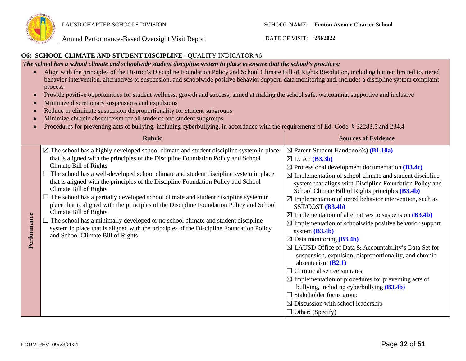

### **O6: SCHOOL CLIMATE AND STUDENT DISCIPLINE** - QUALITY INDICATOR #6

*The school has a school climate and schoolwide student discipline system in place to ensure that the school's practices:* 

- Align with the principles of the District's Discipline Foundation Policy and School Climate Bill of Rights Resolution, including but not limited to, tiered behavior intervention, alternatives to suspension, and schoolwide positive behavior support, data monitoring and, includes a discipline system complaint process
- Provide positive opportunities for student wellness, growth and success, aimed at making the school safe, welcoming, supportive and inclusive
- Minimize discretionary suspensions and expulsions
- Reduce or eliminate suspension disproportionality for student subgroups
- Minimize chronic absenteeism for all students and student subgroups
- Procedures for preventing acts of bullying, including cyberbullying, in accordance with the requirements of Ed. Code, § 32283.5 and 234.4

|             | <b>Rubric</b>                                                                                                                                                                                                                                                                                                                                                                                                                                                                                                                                                                                                                                                                                                                                                                                                                                                                       | <b>Sources of Evidence</b>                                                                                                                                                                                                                                                                                                                                                                                                                                                                                                                                                                                                                                                                                                                                                                                                                                                                                                                                                                                                                                          |
|-------------|-------------------------------------------------------------------------------------------------------------------------------------------------------------------------------------------------------------------------------------------------------------------------------------------------------------------------------------------------------------------------------------------------------------------------------------------------------------------------------------------------------------------------------------------------------------------------------------------------------------------------------------------------------------------------------------------------------------------------------------------------------------------------------------------------------------------------------------------------------------------------------------|---------------------------------------------------------------------------------------------------------------------------------------------------------------------------------------------------------------------------------------------------------------------------------------------------------------------------------------------------------------------------------------------------------------------------------------------------------------------------------------------------------------------------------------------------------------------------------------------------------------------------------------------------------------------------------------------------------------------------------------------------------------------------------------------------------------------------------------------------------------------------------------------------------------------------------------------------------------------------------------------------------------------------------------------------------------------|
| Performance | $\boxtimes$ The school has a highly developed school climate and student discipline system in place<br>that is aligned with the principles of the Discipline Foundation Policy and School<br>Climate Bill of Rights<br>$\Box$ The school has a well-developed school climate and student discipline system in place<br>that is aligned with the principles of the Discipline Foundation Policy and School<br>Climate Bill of Rights<br>$\Box$ The school has a partially developed school climate and student discipline system in<br>place that is aligned with the principles of the Discipline Foundation Policy and School<br>Climate Bill of Rights<br>$\Box$ The school has a minimally developed or no school climate and student discipline<br>system in place that is aligned with the principles of the Discipline Foundation Policy<br>and School Climate Bill of Rights | $\boxtimes$ Parent-Student Handbook(s) ( <b>B1.10a</b> )<br>$\boxtimes$ LCAP (B3.3b)<br>$\boxtimes$ Professional development documentation (B3.4c)<br>$\boxtimes$ Implementation of school climate and student discipline<br>system that aligns with Discipline Foundation Policy and<br>School Climate Bill of Rights principles (B3.4b)<br>$\boxtimes$ Implementation of tiered behavior intervention, such as<br>$SST/COST$ $(B3.4b)$<br>$\boxtimes$ Implementation of alternatives to suspension (B3.4b)<br>$\boxtimes$ Implementation of schoolwide positive behavior support<br>system $(B3.4b)$<br>$\boxtimes$ Data monitoring (B3.4b)<br>$\boxtimes$ LAUSD Office of Data & Accountability's Data Set for<br>suspension, expulsion, disproportionality, and chronic<br>absenteeism $(B2.1)$<br>Chronic absenteeism rates<br>$\Box$<br>$\boxtimes$ Implementation of procedures for preventing acts of<br>bullying, including cyberbullying $(B3.4b)$<br>Stakeholder focus group<br>$\boxtimes$ Discussion with school leadership<br>$\Box$ Other: (Specify) |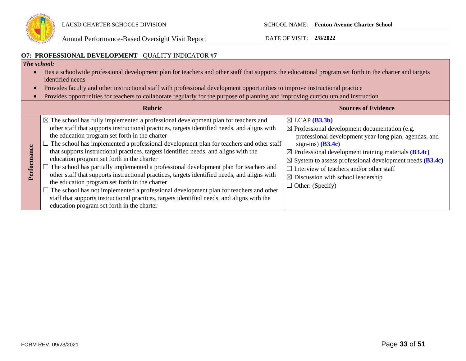

### **O7: PROFESSIONAL DEVELOPMENT** - QUALITY INDICATOR #**7**

### *The school:*

- Has a schoolwide professional development plan for teachers and other staff that supports the educational program set forth in the charter and targets identified needs
- Provides faculty and other instructional staff with professional development opportunities to improve instructional practice
- Provides opportunities for teachers to collaborate regularly for the purpose of planning and improving curriculum and instruction

| <b>Rubric</b>                                                                                                                                                                                                                                                                                                                                                                                                                                                                                                                                                                                                                                                                                                                                                                                                                                                                                                                                                    | <b>Sources of Evidence</b>                                                                                                                                                                                                                                                                                                                                                                                                                           |
|------------------------------------------------------------------------------------------------------------------------------------------------------------------------------------------------------------------------------------------------------------------------------------------------------------------------------------------------------------------------------------------------------------------------------------------------------------------------------------------------------------------------------------------------------------------------------------------------------------------------------------------------------------------------------------------------------------------------------------------------------------------------------------------------------------------------------------------------------------------------------------------------------------------------------------------------------------------|------------------------------------------------------------------------------------------------------------------------------------------------------------------------------------------------------------------------------------------------------------------------------------------------------------------------------------------------------------------------------------------------------------------------------------------------------|
| $\boxtimes$ The school has fully implemented a professional development plan for teachers and<br>other staff that supports instructional practices, targets identified needs, and aligns with<br>the education program set forth in the charter<br>The school has implemented a professional development plan for teachers and other staff<br>that supports instructional practices, targets identified needs, and aligns with the<br>education program set forth in the charter<br>The school has partially implemented a professional development plan for teachers and<br>other staff that supports instructional practices, targets identified needs, and aligns with<br>the education program set forth in the charter<br>The school has not implemented a professional development plan for teachers and other<br>staff that supports instructional practices, targets identified needs, and aligns with the<br>education program set forth in the charter | $\boxtimes$ LCAP ( <b>B3.3b</b> )<br>$\boxtimes$ Professional development documentation (e.g.<br>professional development year-long plan, agendas, and<br>sign-ins) $(B3.4c)$<br>$\boxtimes$ Professional development training materials (B3.4c)<br>$\boxtimes$ System to assess professional development needs (B3.4c)<br>Interview of teachers and/or other staff<br>┓<br>$\boxtimes$ Discussion with school leadership<br>$\Box$ Other: (Specify) |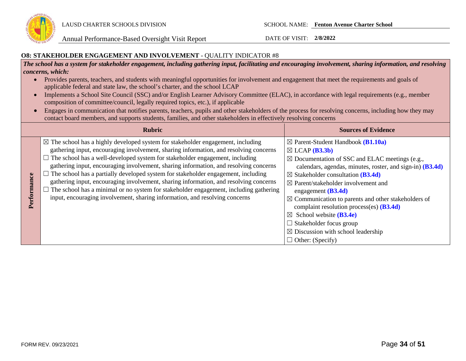

### **O8: STAKEHOLDER ENGAGEMENT AND INVOLVEMENT** - QUALITY INDICATOR #8

*The school has a system for stakeholder engagement, including gathering input, facilitating and encouraging involvement, sharing information, and resolving concerns, which:*

- Provides parents, teachers, and students with meaningful opportunities for involvement and engagement that meet the requirements and goals of applicable federal and state law, the school's charter, and the school LCAP
- Implements a School Site Council (SSC) and/or English Learner Advisory Committee (ELAC), in accordance with legal requirements (e.g., member composition of committee/council, legally required topics, etc.), if applicable
- Engages in communication that notifies parents, teachers, pupils and other stakeholders of the process for resolving concerns, including how they may contact board members, and supports students, families, and other stakeholders in effectively resolving concerns

|   | <b>Rubric</b>                                                                                                                                                                                                                                                                                                                                                                                                                                                                                                                                                                                                                                                                                                             | <b>Sources of Evidence</b>                                                                                                                                                                                                                                                                                                                                                                                                                                                                                                                                                                                         |
|---|---------------------------------------------------------------------------------------------------------------------------------------------------------------------------------------------------------------------------------------------------------------------------------------------------------------------------------------------------------------------------------------------------------------------------------------------------------------------------------------------------------------------------------------------------------------------------------------------------------------------------------------------------------------------------------------------------------------------------|--------------------------------------------------------------------------------------------------------------------------------------------------------------------------------------------------------------------------------------------------------------------------------------------------------------------------------------------------------------------------------------------------------------------------------------------------------------------------------------------------------------------------------------------------------------------------------------------------------------------|
| Ξ | $\boxtimes$ The school has a highly developed system for stakeholder engagement, including<br>gathering input, encouraging involvement, sharing information, and resolving concerns<br>$\Box$ The school has a well-developed system for stakeholder engagement, including<br>gathering input, encouraging involvement, sharing information, and resolving concerns<br>The school has a partially developed system for stakeholder engagement, including<br>gathering input, encouraging involvement, sharing information, and resolving concerns<br>The school has a minimal or no system for stakeholder engagement, including gathering<br>input, encouraging involvement, sharing information, and resolving concerns | $\boxtimes$ Parent-Student Handbook (B1.10a)<br>$\boxtimes$ LCAP ( <b>B3.3b</b> )<br>$\boxtimes$ Documentation of SSC and ELAC meetings (e.g.,<br>calendars, agendas, minutes, roster, and sign-in) (B3.4d)<br>$\boxtimes$ Stakeholder consultation (B3.4d)<br>$\boxtimes$ Parent/stakeholder involvement and<br>engagement $(B3.4d)$<br>$\boxtimes$ Communication to parents and other stakeholders of<br>complaint resolution process(es) $(B3.4d)$<br>$\boxtimes$ School website ( <b>B3.4e</b> )<br>$\Box$ Stakeholder focus group<br>$\boxtimes$ Discussion with school leadership<br>$\Box$ Other: (Specify) |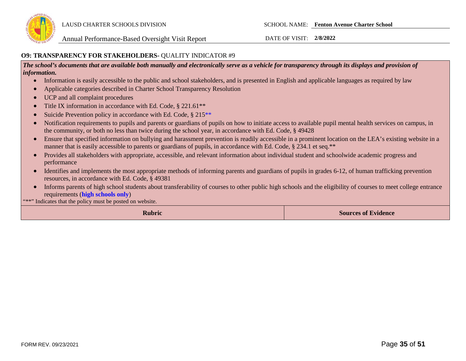

### **O9: TRANSPARENCY FOR STAKEHOLDERS-** QUALITY INDICATOR #9

*The school's documents that are available both manually and electronically serve as a vehicle for transparency through its displays and provision of information.* 

- Information is easily accessible to the public and school stakeholders, and is presented in English and applicable languages as required by law
- Applicable categories described in Charter School Transparency Resolution
- UCP and all complaint procedures
- Title IX information in accordance with Ed. Code, § 221.61<sup>\*\*</sup>
- Suicide Prevention policy in accordance with Ed. Code, § 215<sup>\*\*</sup>
- Notification requirements to pupils and parents or guardians of pupils on how to initiate access to available pupil mental health services on campus, in the community, or both no less than twice during the school year, in accordance with Ed. Code, § 49428
- Ensure that specified information on bullying and harassment prevention is readily accessible in a prominent location on the LEA's existing website in a manner that is easily accessible to parents or guardians of pupils, in accordance with Ed. Code, § 234.1 et seq.\*\*
- Provides all stakeholders with appropriate, accessible, and relevant information about individual student and schoolwide academic progress and performance
- Identifies and implements the most appropriate methods of informing parents and guardians of pupils in grades 6-12, of human trafficking prevention resources, in accordance with Ed. Code, § 49381
- Informs parents of high school students about transferability of courses to other public high schools and the eligibility of courses to meet college entrance requirements (**high schools only**)

\*\*\*" Indicates that the policy must be posted on website.

**Rubric Sources of Evidence**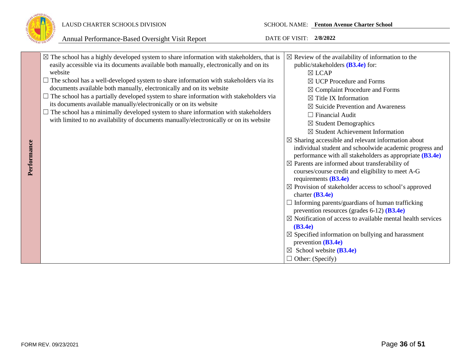

### LAUSD CHARTER SCHOOLS DIVISION SCHOOL NAME: **Fenton Avenue Charter School**

|             | $\boxtimes$ The school has a highly developed system to share information with stakeholders, that is<br>easily accessible via its documents available both manually, electronically and on its<br>website<br>$\Box$ The school has a well-developed system to share information with stakeholders via its<br>documents available both manually, electronically and on its website<br>$\Box$ The school has a partially developed system to share information with stakeholders via<br>its documents available manually/electronically or on its website<br>$\Box$ The school has a minimally developed system to share information with stakeholders<br>with limited to no availability of documents manually/electronically or on its website | $\boxtimes$ Review of the availability of information to the<br>public/stakeholders $(B3.4e)$ for:<br>$\boxtimes$ LCAP<br>$\boxtimes$ UCP Procedure and Forms<br>$\boxtimes$ Complaint Procedure and Forms<br>$\boxtimes$ Title IX Information<br>$\boxtimes$ Suicide Prevention and Awareness<br>$\Box$ Financial Audit<br>$\boxtimes$ Student Demographics<br>$\boxtimes$ Student Achievement Information<br>$\boxtimes$ Sharing accessible and relevant information about                                                                                                                                                                                                                                            |
|-------------|------------------------------------------------------------------------------------------------------------------------------------------------------------------------------------------------------------------------------------------------------------------------------------------------------------------------------------------------------------------------------------------------------------------------------------------------------------------------------------------------------------------------------------------------------------------------------------------------------------------------------------------------------------------------------------------------------------------------------------------------|-------------------------------------------------------------------------------------------------------------------------------------------------------------------------------------------------------------------------------------------------------------------------------------------------------------------------------------------------------------------------------------------------------------------------------------------------------------------------------------------------------------------------------------------------------------------------------------------------------------------------------------------------------------------------------------------------------------------------|
| Performance |                                                                                                                                                                                                                                                                                                                                                                                                                                                                                                                                                                                                                                                                                                                                                | individual student and schoolwide academic progress and<br>performance with all stakeholders as appropriate (B3.4e)<br>$\boxtimes$ Parents are informed about transferability of<br>courses/course credit and eligibility to meet A-G<br>requirements $(B3.4e)$<br>$\boxtimes$ Provision of stakeholder access to school's approved<br>charter $(B3.4e)$<br>Informing parents/guardians of human trafficking<br>prevention resources (grades $6-12$ ) ( <b>B3.4e</b> )<br>$\boxtimes$ Notification of access to available mental health services<br>(B3.4e)<br>$\boxtimes$ Specified information on bullying and harassment<br>prevention $(B3.4e)$<br>School website (B3.4e)<br>$\boxtimes$<br>$\Box$ Other: (Specify) |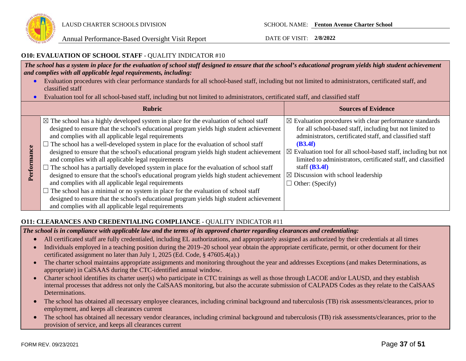

### **O10: EVALUATION OF SCHOOL STAFF** - QUALITY INDICATOR #10

*The school has a system in place for the evaluation of school staff designed to ensure that the school's educational program yields high student achievement and complies with all applicable legal requirements, including:* 

- Evaluation procedures with clear performance standards for all school-based staff, including but not limited to administrators, certificated staff, and classified staff
- Evaluation tool for all school-based staff, including but not limited to administrators, certificated staff, and classified staff

|                 | <b>Rubric</b>                                                                                                                                                                                                                                                                                                                                                                                                                                                                                                                                                                                                                                                                                                                                                                                                                                                                                                                                                                      | <b>Sources of Evidence</b>                                                                                                                                                                                                                                                                                                                                                                                                                  |
|-----------------|------------------------------------------------------------------------------------------------------------------------------------------------------------------------------------------------------------------------------------------------------------------------------------------------------------------------------------------------------------------------------------------------------------------------------------------------------------------------------------------------------------------------------------------------------------------------------------------------------------------------------------------------------------------------------------------------------------------------------------------------------------------------------------------------------------------------------------------------------------------------------------------------------------------------------------------------------------------------------------|---------------------------------------------------------------------------------------------------------------------------------------------------------------------------------------------------------------------------------------------------------------------------------------------------------------------------------------------------------------------------------------------------------------------------------------------|
| ance<br>Perform | $\boxtimes$ The school has a highly developed system in place for the evaluation of school staff<br>designed to ensure that the school's educational program yields high student achievement<br>and complies with all applicable legal requirements<br>The school has a well-developed system in place for the evaluation of school staff<br>designed to ensure that the school's educational program yields high student achievement<br>and complies with all applicable legal requirements<br>The school has a partially developed system in place for the evaluation of school staff<br>designed to ensure that the school's educational program yields high student achievement<br>and complies with all applicable legal requirements<br>The school has a minimal or no system in place for the evaluation of school staff<br>designed to ensure that the school's educational program yields high student achievement<br>and complies with all applicable legal requirements | $\boxtimes$ Evaluation procedures with clear performance standards<br>for all school-based staff, including but not limited to<br>administrators, certificated staff, and classified staff<br>(B3.4f)<br>$\boxtimes$ Evaluation tool for all school-based staff, including but not<br>limited to administrators, certificated staff, and classified<br>staff $(B3.4f)$<br>$\boxtimes$ Discussion with school leadership<br>Other: (Specify) |

### **O11: CLEARANCES AND CREDENTIALING COMPLIANCE** - QUALITY INDICATOR #11

*The school is in compliance with applicable law and the terms of its approved charter regarding clearances and credentialing:*

- All certificated staff are fully credentialed, including EL authorizations, and appropriately assigned as authorized by their credentials at all times
- Individuals employed in a teaching position during the 2019–20 school year obtain the appropriate certificate, permit, or other document for their certificated assignment no later than July 1, 2025 (Ed. Code, § 47605.4(a).)
- The charter school maintains appropriate assignments and monitoring throughout the year and addresses Exceptions (and makes Determinations, as appropriate) in CalSAAS during the CTC-identified annual window.
- Charter school identifies its charter user(s) who participate in CTC trainings as well as those through LACOE and/or LAUSD, and they establish internal processes that address not only the CalSAAS monitoring, but also the accurate submission of CALPADS Codes as they relate to the CalSAAS Determinations.
- The school has obtained all necessary employee clearances, including criminal background and tuberculosis (TB) risk assessments/clearances, prior to employment, and keeps all clearances current
- The school has obtained all necessary vendor clearances, including criminal background and tuberculosis (TB) risk assessments/clearances, prior to the provision of service, and keeps all clearances current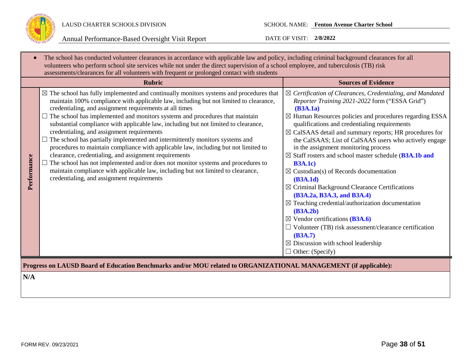

| The school has conducted volunteer clearances in accordance with applicable law and policy, including criminal background clearances for all<br>volunteers who perform school site services while not under the direct supervision of a school employee, and tuberculosis (TB) risk<br>assessments/clearances for all volunteers with frequent or prolonged contact with students |                                                                                                                                                                                                                                                                                                                                                                                                                                                                                                                                                                                                                                                                                                                                                                                                                                                                                                                                                |                                                                                                                                                                                                                                                                                                                                                                                                                                                                                                                                                                                                                                                                                                                                                                                                                                                                                                                                                         |  |
|-----------------------------------------------------------------------------------------------------------------------------------------------------------------------------------------------------------------------------------------------------------------------------------------------------------------------------------------------------------------------------------|------------------------------------------------------------------------------------------------------------------------------------------------------------------------------------------------------------------------------------------------------------------------------------------------------------------------------------------------------------------------------------------------------------------------------------------------------------------------------------------------------------------------------------------------------------------------------------------------------------------------------------------------------------------------------------------------------------------------------------------------------------------------------------------------------------------------------------------------------------------------------------------------------------------------------------------------|---------------------------------------------------------------------------------------------------------------------------------------------------------------------------------------------------------------------------------------------------------------------------------------------------------------------------------------------------------------------------------------------------------------------------------------------------------------------------------------------------------------------------------------------------------------------------------------------------------------------------------------------------------------------------------------------------------------------------------------------------------------------------------------------------------------------------------------------------------------------------------------------------------------------------------------------------------|--|
|                                                                                                                                                                                                                                                                                                                                                                                   | <b>Rubric</b>                                                                                                                                                                                                                                                                                                                                                                                                                                                                                                                                                                                                                                                                                                                                                                                                                                                                                                                                  | <b>Sources of Evidence</b>                                                                                                                                                                                                                                                                                                                                                                                                                                                                                                                                                                                                                                                                                                                                                                                                                                                                                                                              |  |
| Performance                                                                                                                                                                                                                                                                                                                                                                       | $\boxtimes$ The school has fully implemented and continually monitors systems and procedures that<br>maintain 100% compliance with applicable law, including but not limited to clearance,<br>credentialing, and assignment requirements at all times<br>$\Box$ The school has implemented and monitors systems and procedures that maintain<br>substantial compliance with applicable law, including but not limited to clearance,<br>credentialing, and assignment requirements<br>$\Box$ The school has partially implemented and intermittently monitors systems and<br>procedures to maintain compliance with applicable law, including but not limited to<br>clearance, credentialing, and assignment requirements<br>The school has not implemented and/or does not monitor systems and procedures to<br>maintain compliance with applicable law, including but not limited to clearance,<br>credentialing, and assignment requirements | $\boxtimes$ Certification of Clearances, Credentialing, and Mandated<br>Reporter Training 2021-2022 form ("ESSA Grid")<br>(B3A.1a)<br>$\boxtimes$ Human Resources policies and procedures regarding ESSA<br>qualifications and credentialing requirements<br>$\boxtimes$ CalSAAS detail and summary reports; HR procedures for<br>the CalSAAS; List of CalSAAS users who actively engage<br>in the assignment monitoring process<br>⊠ Staff rosters and school master schedule (B3A.1b and<br><b>B3A.1c)</b><br>$\boxtimes$ Custodian(s) of Records documentation<br>(B3A.1d)<br>$\boxtimes$ Criminal Background Clearance Certifications<br>(B3A.2a, B3A.3, and B3A.4)<br>$\boxtimes$ Teaching credential/authorization documentation<br>(B3A.2b)<br>$\boxtimes$ Vendor certifications (B3A.6)<br>$\Box$ Volunteer (TB) risk assessment/clearance certification<br>(B3A.7)<br>$\boxtimes$ Discussion with school leadership<br>$\Box$ Other: (Specify) |  |
| Progress on LAUSD Board of Education Benchmarks and/or MOU related to ORGANIZATIONAL MANAGEMENT (if applicable):                                                                                                                                                                                                                                                                  |                                                                                                                                                                                                                                                                                                                                                                                                                                                                                                                                                                                                                                                                                                                                                                                                                                                                                                                                                |                                                                                                                                                                                                                                                                                                                                                                                                                                                                                                                                                                                                                                                                                                                                                                                                                                                                                                                                                         |  |
| N/A                                                                                                                                                                                                                                                                                                                                                                               |                                                                                                                                                                                                                                                                                                                                                                                                                                                                                                                                                                                                                                                                                                                                                                                                                                                                                                                                                |                                                                                                                                                                                                                                                                                                                                                                                                                                                                                                                                                                                                                                                                                                                                                                                                                                                                                                                                                         |  |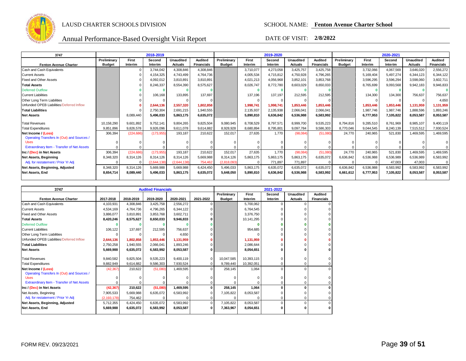

| 3747                                                      |               |            | 2018-2019   |                  |                   |               |           | 2019-2020 |                  |                   |               |           | 2020-2021 |                  |                   |
|-----------------------------------------------------------|---------------|------------|-------------|------------------|-------------------|---------------|-----------|-----------|------------------|-------------------|---------------|-----------|-----------|------------------|-------------------|
|                                                           | Preliminary   | First      | Second      | <b>Unaudited</b> | <b>Audited</b>    | Preliminarv   | First     | Second    | <b>Unaudited</b> | <b>Audited</b>    | Preliminary   | First     | Second    | <b>Unaudited</b> | <b>Audited</b>    |
| <b>Fenton Avenue Charter</b>                              | <b>Budget</b> | Interim    | Interim     | <b>Actuals</b>   | <b>Financials</b> | <b>Budget</b> | Interim   | Interim   | <b>Actuals</b>   | <b>Financials</b> | <b>Budget</b> | Interim   | Interim   | <b>Actuals</b>   | <b>Financials</b> |
| Cash and Cash Equivalents                                 |               |            | 3,744,042   | 4,308,846        | 4,308,846         |               | 3,710,077 | 4,273,058 | 3,425,757        | 3,425,758         |               | 3,732,066 | 4,067,569 | 3,646,020        | 2,556,272         |
| <b>Current Assets</b>                                     |               |            | 4,154,325   | 4,743,499        | 4,764,736         |               | 4,005,534 | 4,715,812 | 4,750,928        | 4,796,265         |               | 5,169,404 | 5,497,274 | 6,344,123        | 6,344,122         |
| <b>Fixed and Other Assets</b>                             |               |            | 4,092,012   | 3,810,891        | 3,810,891         |               | 4,021,213 | 4,056,968 | 3,852,101        | 3,853,768         |               | 3,596,295 | 3,596,294 | 3,598,060        | 3,602,711         |
| <b>Total Assets</b>                                       |               |            | 8,246,337   | 8,554,390        | 8,575,627         |               | 8,026,747 | 8,772,780 | 8,603,029        | 8,650,033         |               | 8,765,699 | 9,093,568 | 9,942,183        | 9,946,833         |
| <b>Deferred Outflow</b>                                   |               |            |             |                  |                   |               |           |           |                  |                   |               |           |           |                  |                   |
| <b>Current Liabilities</b>                                |               |            | 106,168     | 133,895          | 137,697           |               | 137,196   | 137,197   | 212,595          | 212,595           |               | 134,300   | 134.300   | 756,637          | 756,637           |
| Other Long Term Liabilities                               |               |            |             |                  |                   |               |           |           |                  |                   |               |           | $\Omega$  |                  | 4,650             |
| Unfunded OPEB Liabilities/Deferred Inflow                 |               |            | 2.644.136   | 2,557,320        | 1,802,858         |               | 1.998.741 | 1,998,741 | 1.853.446        | 1,853,446         |               | 1.853.446 | 1,853,446 | 1,131,959        | 1,131,959         |
| <b>Total Liabilities</b>                                  |               |            | 2,750,304   | 2,691,215        | 1,940,555         |               | 2,135,937 | 2,135,938 | 2.066.041        | 2,066,041         |               | 1,987,746 | 1,987,746 | 1,888,596        | 1,893,246         |
| <b>Net Assets</b>                                         |               | 8,089,440  | 5,496,033   | 5,863,175        | 6,635,072         |               | 5,890,810 | 6,636,842 | 6,536,988        | 6,583,992         |               | 6,777,953 | 7,105,822 | 8,053,587        | 8,053,587         |
|                                                           |               |            |             |                  |                   |               |           |           |                  |                   |               |           |           |                  |                   |
| <b>Total Revenues</b>                                     | 10,158,290    | 9.601.892  | 9,752,141   | 9,804,265        | 9,825,504         | 9,080,945     | 8,708,529 | 8,797,571 | 8,999,700        | 9,535,223         | 8,794,816     | 9,285,510 | 8,761,969 | 8,985,107        | 9,400,119         |
| <b>Total Expenditures</b>                                 | 9,851,896     | 9,826,578  | 9,926,096   | 9,611,078        | 9,614,882         | 8,928,928     | 8,680,894 | 8,795,801 | 9,097,784        | 9,586,303         | 8,770,046     | 9,044,545 | 8,240,139 | 7,515,512        | 7,930,524         |
| Net Income / (Loss)                                       | 306,394       | (224, 686) | (173, 955)  | 193,187          | 210,622           | 152,017       | 27,635    | 1.770     | (98,084)         | (51,080)          | 24,770        | 240,965   | 521,830   | 1,469,595        | 1,469,595         |
| Operating Transfers In (Out) and Sources /<br><b>Uses</b> |               |            |             |                  |                   |               |           |           |                  |                   |               |           |           |                  |                   |
|                                                           |               |            |             |                  |                   |               |           |           |                  |                   |               |           |           |                  |                   |
| Extraordinary Item - Transfer of Net Assets               |               |            |             |                  |                   |               |           |           |                  |                   |               |           |           |                  |                   |
| Inc / (Dec) in Net Assets                                 | 306,394       | (224, 686) | (173, 955)  | 193,187          | 210,622           | 152,017       | 27,635    | 1,770     | (98,084)         | (51,080)          | 24,770        | 240,965   | 521,830   | 1,469,595        | 1,469,595         |
| Net Assets, Beginning                                     | 8,348,320     | 8,314,126  | 8.314.126   | 8,314,126        | 5,669,988         | 8,314,126     | 5,863,175 | 5,863,175 | 5,863,175        | 6,635,072         | 6,636,842     | 6,536,988 | 6,536,989 | 6,536,989        | 6,583,992         |
| Adj. for restatement / Prior Yr Adj                       |               |            | (2.644.138) | (2.644.138)      | 754,462           | (2.818.093)   | $\Omega$  | 771.897   | 771.897          |                   | $\Omega$      |           | 47,003    | 47.003           | 0                 |
| Net Assets, Beginning, Adjusted                           | 8,348,320     | 8,314,126  | 5,669,988   | 5,669,988        | 6,424,450         | 5,496,033     | 5,863,175 | 6,635,072 | 6,635,072        | 6,635,072         | 6,636,842     | 6,536,988 | 6,583,992 | 6,583,992        | 6,583,992         |
| Net Assets, End                                           | 8,654,714     | 8,089,440  | 5,496,033   | 5,863,175        | 6,635,072         | 5,648,050     | 5,890,810 | 6,636,842 | 6,536,988        | 6,583,992         | 6,661,612     | 6,777,953 | 7,105,822 | 8,053,587        | 8,053,587         |
|                                                           |               |            |             |                  |                   |               |           |           |                  |                   |               |           |           |                  |                   |

| 3747                                        |               |           | <b>Audited Financials</b> |           |              |               |            | 2021-2022 |                  |                   |
|---------------------------------------------|---------------|-----------|---------------------------|-----------|--------------|---------------|------------|-----------|------------------|-------------------|
|                                             |               |           |                           |           |              | Preliminary   | First      | Second    | <b>Unaudited</b> | Audited           |
| <b>Fenton Avenue Charter</b>                | 2017-2018     | 2018-2019 | 2019-2020                 | 2020-2021 | 2021-2022    | <b>Budget</b> | Interim    | Interim   | <b>Actuals</b>   | <b>Financials</b> |
| Cash and Cash Equivalents                   | 4.103.931     | 4,308,846 | 3,425,758                 | 2,556,272 |              |               | 5.700.062  |           | $\Omega$         |                   |
| <b>Current Assets</b>                       | 4.534.169     | 4,764,736 | 4,796,265                 | 6,344,122 |              |               | 6,764,545  |           |                  |                   |
| <b>Fixed and Other Assets</b>               | 3.886.077     | 3,810,891 | 3,853,768                 | 3,602,711 |              |               | 3.376.750  |           |                  |                   |
| <b>Total Assets</b>                         | 8,420,246     | 8,575,627 | 8,650,033                 | 9,946,833 |              |               | 10,141,295 |           |                  |                   |
| <b>Deferred Outflow</b>                     |               |           |                           |           |              |               |            |           |                  |                   |
| <b>Current Liabilities</b>                  | 106,122       | 137.697   | 212,595                   | 756.637   |              |               | 954,685    |           |                  |                   |
| Other Long Term Liabilities                 |               |           |                           | 4,650     |              |               |            |           |                  |                   |
| Unfunded OPEB Liabilities/Deferred Inflow   | 2,644,136     | 1,802,858 | 1.853.446                 | 1,131,959 |              |               | 1,131,959  |           |                  |                   |
| <b>Total Liabilities</b>                    | 2,750,258     | 1,940,555 | 2,066,041                 | 1,893,246 |              |               | 2.086.644  |           |                  |                   |
| <b>Net Assets</b>                           | 5,669,988     | 6,635,072 | 6,583,992                 | 8,053,587 | 0            |               | 8,054,651  |           |                  |                   |
| <b>Total Revenues</b>                       | 9,840,582     | 9,825,504 | 9,535,223                 | 9,400,119 |              | 10,047,585    | 10,393,115 |           | $\Omega$         |                   |
| <b>Total Expenditures</b>                   | 9,882,949     | 9,614,882 | 9,586,303                 | 7,930,524 |              | 9,789,440     | 10,392,051 |           | $\Omega$         | 0                 |
| Net Income / (Loss)                         | (42, 367)     | 210,622   | (51,080)                  | 1,469,595 | 0            | 258.145       | 1,064      |           | $\Omega$         | 0                 |
| Operating Transfers In (Out) and Sources /  |               |           |                           |           |              |               |            |           |                  |                   |
| <b>Uses</b>                                 |               |           |                           |           |              |               |            |           | O                |                   |
| Extraordinary Item - Transfer of Net Assets |               |           |                           |           |              |               |            |           | $\Omega$         |                   |
| Inc / (Dec) in Net Assets                   | (42, 367)     | 210,622   | (51,080)                  | 1,469,595 |              | 258,145       | 1,064      |           | 0                | 0                 |
| Net Assets, Beginning                       | 7,905,533     | 5,669,988 | 6,635,072                 | 6,583,992 |              | 7,105,822     | 8,053,587  |           |                  |                   |
| Adj. for restatement / Prior Yr Adj         | (2, 193, 178) | 754,462   |                           |           |              |               |            |           | $\Omega$         |                   |
| Net Assets, Beginning, Adjusted             | 5,712,355     | 6,424,450 | 6,635,072                 | 6,583,992 | $\Omega$     | 7,105,822     | 8,053,587  | $\Omega$  | $\Omega$         |                   |
| <b>Net Assets, End</b>                      | 5,669,988     | 6,635,072 | 6,583,992                 | 8,053,587 | <sup>0</sup> | 7,363,967     | 8,054,651  |           |                  |                   |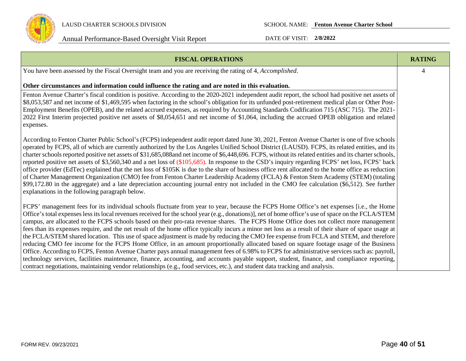

LAUSD CHARTER SCHOOLS DIVISION SCHOOL NAME: **Fenton Avenue Charter School**

| <b>FISCAL OPERATIONS</b>                                                                                                                                                                                                                                                                                                                                                                                                                                                                                                                                                                                                                                                                                                                                                                                                                                                                                                                                                                                                                                                                                                                                                            | <b>RATING</b>  |
|-------------------------------------------------------------------------------------------------------------------------------------------------------------------------------------------------------------------------------------------------------------------------------------------------------------------------------------------------------------------------------------------------------------------------------------------------------------------------------------------------------------------------------------------------------------------------------------------------------------------------------------------------------------------------------------------------------------------------------------------------------------------------------------------------------------------------------------------------------------------------------------------------------------------------------------------------------------------------------------------------------------------------------------------------------------------------------------------------------------------------------------------------------------------------------------|----------------|
| You have been assessed by the Fiscal Oversight team and you are receiving the rating of 4, Accomplished.                                                                                                                                                                                                                                                                                                                                                                                                                                                                                                                                                                                                                                                                                                                                                                                                                                                                                                                                                                                                                                                                            | $\overline{4}$ |
| Other circumstances and information could influence the rating and are noted in this evaluation.                                                                                                                                                                                                                                                                                                                                                                                                                                                                                                                                                                                                                                                                                                                                                                                                                                                                                                                                                                                                                                                                                    |                |
| Fenton Avenue Charter's fiscal condition is positive. According to the 2020-2021 independent audit report, the school had positive net assets of<br>\$8,053,587 and net income of \$1,469,595 when factoring in the school's obligation for its unfunded post-retirement medical plan or Other Post-<br>Employment Benefits (OPEB), and the related accrued expenses, as required by Accounting Standards Codification 715 (ASC 715). The 2021-<br>2022 First Interim projected positive net assets of \$8,054,651 and net income of \$1,064, including the accrued OPEB obligation and related<br>expenses.                                                                                                                                                                                                                                                                                                                                                                                                                                                                                                                                                                        |                |
| According to Fenton Charter Public School's (FCPS) independent audit report dated June 30, 2021, Fenton Avenue Charter is one of five schools<br>operated by FCPS, all of which are currently authorized by the Los Angeles Unified School District (LAUSD). FCPS, its related entities, and its<br>charter schools reported positive net assets of \$31,685,088and net income of \$6,448,696. FCPS, without its related entities and its charter schools,<br>reported positive net assets of \$3,560,340 and a net loss of (\$105,685). In response to the CSD's inquiry regarding FCPS' net loss, FCPS' back<br>office provider (EdTec) explained that the net loss of \$105K is due to the share of business office rent allocated to the home office as reduction<br>of Charter Management Organization (CMO) fee from Fenton Charter Leadership Academy (FCLA) & Fenton Stem Academy (STEM) (totaling<br>\$99,172.80 in the aggregate) and a late depreciation accounting journal entry not included in the CMO fee calculation (\$6,512). See further<br>explanations in the following paragraph below.                                                                       |                |
| FCPS' management fees for its individual schools fluctuate from year to year, because the FCPS Home Office's net expenses [i.e., the Home<br>Office's total expenses less its local revenues received for the school year (e.g., donations)], net of home office's use of space on the FCLA/STEM<br>campus, are allocated to the FCPS schools based on their pro-rata revenue shares. The FCPS Home Office does not collect more management<br>fees than its expenses require, and the net result of the home office typically incurs a minor net loss as a result of their share of space usage at<br>the FCLA/STEM shared location. This use of space adjustment is made by reducing the CMO fee expense from FCLA and STEM, and therefore<br>reducing CMO fee income for the FCPS Home Office, in an amount proportionally allocated based on square footage usage of the Business<br>Office. According to FCPS, Fenton Avenue Charter pays annual management fees of 6.98% to FCPS for administrative services such as: payroll,<br>technology services, facilities maintenance, finance, accounting, and accounts payable support, student, finance, and compliance reporting, |                |
| contract negotiations, maintaining vendor relationships (e.g., food services, etc.), and student data tracking and analysis.                                                                                                                                                                                                                                                                                                                                                                                                                                                                                                                                                                                                                                                                                                                                                                                                                                                                                                                                                                                                                                                        |                |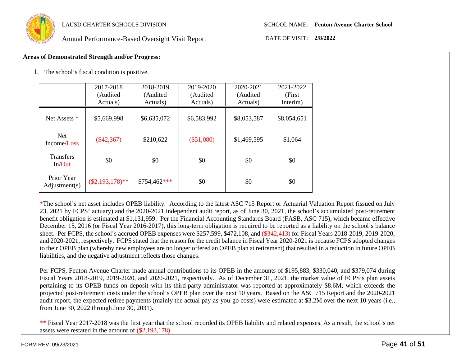

### **Areas of Demonstrated Strength and/or Progress:**

1. The school's fiscal condition is positive.

|                             | 2017-2018<br>(Audited<br>Actuals) | 2018-2019<br>(Audited<br>Actuals) | 2019-2020<br>(Audited<br>Actuals) | 2020-2021<br>(Audited)<br>Actuals) | 2021-2022<br>(First)<br>Interim) |
|-----------------------------|-----------------------------------|-----------------------------------|-----------------------------------|------------------------------------|----------------------------------|
| Net Assets *                | \$5,669,998                       | \$6,635,072                       | \$6,583,992                       | \$8,053,587                        | \$8,054,651                      |
| <b>Net</b><br>Income/Loss   | $(\$42,367)$                      | \$210,622                         | $(\$51,080)$                      | \$1,469,595                        | \$1,064                          |
| <b>Transfers</b><br>In/Out  | \$0                               | \$0                               | \$0                               | \$0                                | \$0                              |
| Prior Year<br>Adjustment(s) | $(\$2,193,178)**$                 | \$754,462***                      | \$0                               | \$0                                | \$0                              |

\*The school's net asset includes OPEB liability. According to the latest ASC 715 Report or Actuarial Valuation Report (issued on July 23, 2021 by FCPS' actuary) and the 2020-2021 independent audit report, as of June 30, 2021, the school's accumulated post-retirement benefit obligation is estimated at \$1,131,959. Per the Financial Accounting Standards Board (FASB, ASC 715), which became effective December 15, 2016 (or Fiscal Year 2016-2017), this long-term obligation is required to be reported as a liability on the school's balance sheet. Per FCPS, the school's accrued OPEB expenses were \$257,599, \$472,108, and (\$342,413) for Fiscal Years 2018-2019, 2019-2020, and 2020-2021, respectively. FCPS stated that the reason for the credit balance in Fiscal Year 2020-2021 is because FCPS adopted changes to their OPEB plan (whereby new employees are no longer offered an OPEB plan at retirement) that resulted in a reduction in future OPEB liabilities, and the negative adjustment reflects those changes.

Per FCPS, Fenton Avenue Charter made annual contributions to its OPEB in the amounts of \$195,883, \$330,040, and \$379,074 during Fiscal Years 2018-2019, 2019-2020, and 2020-2021, respectively. As of December 31, 2021, the market value of FCPS's plan assets pertaining to its OPEB funds on deposit with its third-party administrator was reported at approximately \$8.6M, which exceeds the projected post-retirement costs under the school's OPEB plan over the next 10 years. Based on the ASC 715 Report and the 2020-2021 audit report, the expected retiree payments (mainly the actual pay-as-you-go costs) were estimated at \$3.2M over the next 10 years (i.e., from June 30, 2022 through June 30, 2031).

\*\* Fiscal Year 2017-2018 was the first year that the school recorded its OPEB liability and related expenses. As a result, the school's net assets were restated in the amount of (\$2,193,178).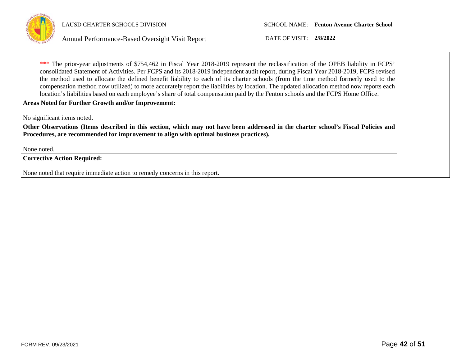

\*\*\* The prior-year adjustments of \$754,462 in Fiscal Year 2018-2019 represent the reclassification of the OPEB liability in FCPS' consolidated Statement of Activities. Per FCPS and its 2018-2019 independent audit report, during Fiscal Year 2018-2019, FCPS revised the method used to allocate the defined benefit liability to each of its charter schools (from the time method formerly used to the compensation method now utilized) to more accurately report the liabilities by location. The updated allocation method now reports each location's liabilities based on each employee's share of total compensation paid by the Fenton schools and the FCPS Home Office.

**Areas Noted for Further Growth and/or Improvement:**

No significant items noted.

**Other Observations (Items described in this section, which may not have been addressed in the charter school's Fiscal Policies and Procedures, are recommended for improvement to align with optimal business practices).**

None noted.

**Corrective Action Required:**

None noted that require immediate action to remedy concerns in this report.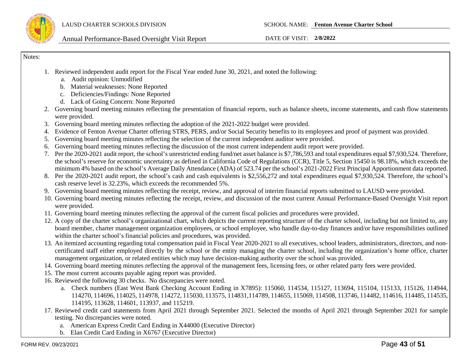

Notes:

- 1. Reviewed independent audit report for the Fiscal Year ended June 30, 2021, and noted the following:
	- a. Audit opinion: Unmodified
	- b. Material weaknesses: None Reported
	- c. Deficiencies/Findings: None Reported
	- d. Lack of Going Concern: None Reported
- 2. Governing board meeting minutes reflecting the presentation of financial reports, such as balance sheets, income statements, and cash flow statements were provided.
- 3. Governing board meeting minutes reflecting the adoption of the 2021-2022 budget were provided.
- 4. Evidence of Fenton Avenue Charter offering STRS, PERS, and/or Social Security benefits to its employees and proof of payment was provided.
- 5. Governing board meeting minutes reflecting the selection of the current independent auditor were provided.
- 6. Governing board meeting minutes reflecting the discussion of the most current independent audit report were provided.
- 7. Per the 2020-2021 audit report, the school's unrestricted ending fund/net asset balance is \$7,786,593 and total expenditures equal \$7,930,524. Therefore, the school's reserve for economic uncertainty as defined in California Code of Regulations (CCR), Title 5, Section 15450 is 98.18%, which exceeds the minimum 4% based on the school's Average Daily Attendance (ADA) of 523.74 per the school's 2021-2022 First Principal Apportionment data reported.
- 8. Per the 2020-2021 audit report, the school's cash and cash equivalents is \$2,556,272 and total expenditures equal \$7,930,524. Therefore, the school's cash reserve level is 32.23%, which exceeds the recommended 5%.
- 9. Governing board meeting minutes reflecting the receipt, review, and approval of interim financial reports submitted to LAUSD were provided.
- 10. Governing board meeting minutes reflecting the receipt, review, and discussion of the most current Annual Performance-Based Oversight Visit report were provided.
- 11. Governing board meeting minutes reflecting the approval of the current fiscal policies and procedures were provided.
- 12. A copy of the charter school's organizational chart, which depicts the current reporting structure of the charter school, including but not limited to, any board member, charter management organization employees, or school employee, who handle day-to-day finances and/or have responsibilities outlined within the charter school's financial policies and procedures, was provided.
- 13. An itemized accounting regarding total compensation paid in Fiscal Year 2020-2021 to all executives, school leaders, administrators, directors, and noncertificated staff either employed directly by the school or the entity managing the charter school, including the organization's home office, charter management organization, or related entities which may have decision-making authority over the school was provided.
- 14. Governing board meeting minutes reflecting the approval of the management fees, licensing fees, or other related party fees were provided.
- 15. The most current accounts payable aging report was provided.
- 16. Reviewed the following 30 checks. No discrepancies were noted.
	- a. Check numbers (East West Bank Checking Account Ending in X7895): 115060, 114534, 115127, 113694, 115104, 115133, 115126, 114944, 114270, 114696, 114025, 114978, 114272, 115030, 113575, 114831,114789, 114655, 115069, 114508, 113746, 114482, 114616, 114485, 114535, 114195, 113628, 114601, 113937, and 115219.
- 17. Reviewed credit card statements from April 2021 through September 2021. Selected the months of April 2021 through September 2021 for sample testing. No discrepancies were noted.
	- a. American Express Credit Card Ending in X44000 (Executive Director)
	- b. Elan Credit Card Ending in X6767 (Executive Director)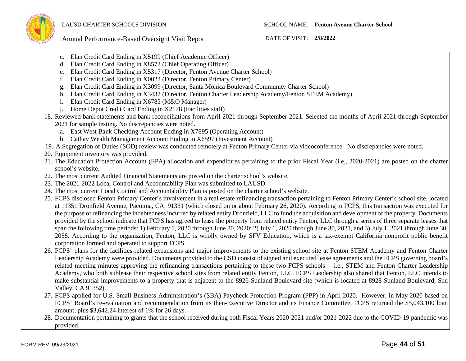Annual Performance-Based Oversight Visit Report DATE OF VISIT: **2/8/2022**

- c. Elan Credit Card Ending in X5199 (Chief Academic Officer)
- d. Elan Credit Card Ending in X8572 (Chief Operating Officer)
- e. Elan Credit Card Ending in X5317 (Director, Fenton Avenue Charter School)
- f. Elan Credit Card Ending in X0022 (Director, Fenton Primary Center)
- g. Elan Credit Card Ending in X3099 (Director, Santa Monica Boulevard Community Charter School)
- h. Elan Credit Card Ending in X3432 (Director, Fenton Charter Leadership Academy/Fenton STEM Academy)
- i. Elan Credit Card Ending in X6785 (M&O Manager)
- j. Home Depot Credit Card Ending in X2178 (Facilities staff)
- 18. Reviewed bank statements and bank reconciliations from April 2021 through September 2021. Selected the months of April 2021 through September 2021 for sample testing. No discrepancies were noted.
	- a. East West Bank Checking Account Ending in X7895 (Operating Account)
	- b. Cathay Wealth Management Account Ending in X6597 (Investment Account)
- 19. A Segregation of Duties (SOD) review was conducted remotely at Fenton Primary Center via videoconference. No discrepancies were noted.
- 20. Equipment inventory was provided.
- 21. The Education Protection Account (EPA) allocation and expenditures pertaining to the prior Fiscal Year (i.e., 2020-2021) are posted on the charter school's website.
- 22. The most current Audited Financial Statements are posted on the charter school's website.
- 23. The 2021-2022 Local Control and Accountability Plan was submitted to LAUSD.
- 24. The most current Local Control and Accountability Plan is posted on the charter school's website.
- 25. FCPS disclosed Fenton Primary Center's involvement in a real estate refinancing transaction pertaining to Fenton Primary Center's school site, located at 11351 Dronfield Avenue, Pacoima, CA 91331 (which closed on or about February 26, 2020). According to FCPS, this transaction was executed for the purpose of refinancing the indebtedness incurred by related entity Dronfield, LLC to fund the acquisition and development of the property. Documents provided by the school indicate that FCPS has agreed to lease the property from related entity Fenton, LLC through a series of three separate leases that span the following time periods: 1) February 1, 2020 through June 30, 2020; 2) July 1, 2020 through June 30, 2021, and 3) July 1, 2021 through June 30, 2058. According to the organization, Fenton, LLC is wholly owned by SFV Education, which is a tax-exempt California nonprofit public benefit corporation formed and operated to support FCPS.
- 26. FCPS' plans for the facilities-related expansions and major improvements to the existing school site at Fenton STEM Academy and Fenton Charter Leadership Academy were provided. Documents provided to the CSD consist of signed and executed lease agreements and the FCPS governing board's related meeting minutes approving the refinancing transactions pertaining to these two FCPS schools —i.e., STEM and Fenton Charter Leadership Academy, who both sublease their respective school sites from related entity Fenton, LLC. FCPS Leadership also shared that Fenton, LLC intends to make substantial improvements to a property that is adjacent to the 8926 Sunland Boulevard site (which is located at 8928 Sunland Boulevard, Sun Valley, CA 91352).
- 27. FCPS applied for U.S. Small Business Administration's (SBA) Paycheck Protection Program (PPP) in April 2020. However, in May 2020 based on FCPS' Board's re-evaluation and recommendation from its then-Executive Director and its Finance Committee, FCPS returned the \$5,043,100 loan amount, plus \$3,642.24 interest of 1% for 26 days.
- 28. Documentation pertaining to grants that the school received during both Fiscal Years 2020-2021 and/or 2021-2022 due to the COVID-19 pandemic was provided.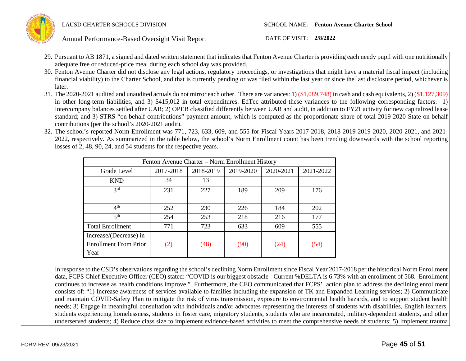

- 29. Pursuant to AB 1871, a signed and dated written statement that indicates that Fenton Avenue Charter is providing each needy pupil with one nutritionally adequate free or reduced-price meal during each school day was provided.
- 30. Fenton Avenue Charter did not disclose any legal actions, regulatory proceedings, or investigations that might have a material fiscal impact (including financial viability) to the Charter School, and that is currently pending or was filed within the last year or since the last disclosure period, whichever is later.
- 31. The 2020-2021 audited and unaudited actuals do not mirror each other. There are variances: 1) (\$1,089,748) in cash and cash equivalents, 2) (\$1,127,309) in other long-term liabilities, and 3) \$415,012 in total expenditures. EdTec attributed these variances to the following corresponding factors: 1) Intercompany balances settled after UAR; 2) OPEB classified differently between UAR and audit, in addition to FY21 activity for new capitalized lease standard; and 3) STRS "on-behalf contributions" payment amount, which is computed as the proportionate share of total 2019-2020 State on-behalf contributions (per the school's 2020-2021 audit).
- 32. The school's reported Norm Enrollment was 771, 723, 633, 609, and 555 for Fiscal Years 2017-2018, 2018-2019 2019-2020, 2020-2021, and 2021- 2022, respectively. As summarized in the table below, the school's Norm Enrollment count has been trending downwards with the school reporting losses of 2, 48, 90, 24, and 54 students for the respective years.

| Fenton Avenue Charter – Norm Enrollment History |           |           |           |           |           |
|-------------------------------------------------|-----------|-----------|-----------|-----------|-----------|
| Grade Level                                     | 2017-2018 | 2018-2019 | 2019-2020 | 2020-2021 | 2021-2022 |
| <b>KND</b>                                      | 34        | 13        |           |           |           |
| 2rd                                             | 231       | 227       | 189       | 209       | 176       |
|                                                 |           |           |           |           |           |
| 4 <sup>th</sup>                                 | 252       | 230       | 226       | 184       | 202       |
| 5 <sup>th</sup>                                 | 254       | 253       | 218       | 216       | 177       |
| <b>Total Enrollment</b>                         | 771       | 723       | 633       | 609       | 555       |
| Increase/(Decrease) in                          |           |           |           |           |           |
| <b>Enrollment From Prior</b>                    | (2)       | (48)      | (90)      | (24)      | (54)      |
| Year                                            |           |           |           |           |           |

In response to the CSD's observations regarding the school's declining Norm Enrollment since Fiscal Year 2017-2018 per the historical Norm Enrollment data, FCPS Chief Executive Officer (CEO) stated: "COVID is our biggest obstacle - Current %DELTA is 6.73% with an enrollment of 568. Enrollment continues to increase as health conditions improve." Furthermore, the CEO communicated that FCPS' action plan to address the declining enrollment consists of: "1) Increase awareness of services available to families including the expansion of TK and Expanded Learning services; 2) Communicate and maintain COVID-Safety Plan to mitigate the risk of virus transmission, exposure to environmental health hazards, and to support student health needs; 3) Engage in meaningful consultation with individuals and/or advocates representing the interests of students with disabilities, English learners, students experiencing homelessness, students in foster care, migratory students, students who are incarcerated, military-dependent students, and other underserved students; 4) Reduce class size to implement evidence-based activities to meet the comprehensive needs of students; 5) Implement trauma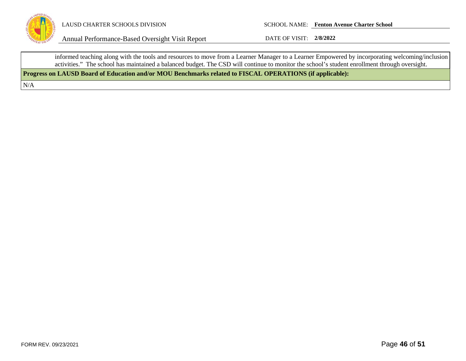

LAUSD CHARTER SCHOOLS DIVISION SCHOOL NAME: **Fenton Avenue Charter School**

Annual Performance-Based Oversight Visit Report DATE OF VISIT: **2/8/2022**

informed teaching along with the tools and resources to move from a Learner Manager to a Learner Empowered by incorporating welcoming/inclusion activities." The school has maintained a balanced budget. The CSD will continue to monitor the school's student enrollment through oversight.

**Progress on LAUSD Board of Education and/or MOU Benchmarks related to FISCAL OPERATIONS (if applicable):**

N/A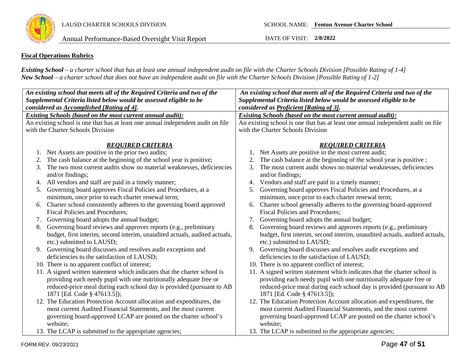

### **Fiscal Operations Rubrics**

*Existing School – a charter school that has at least one annual independent audit on file with the Charter Schools Division [Possible Rating of 1-4] New School – a charter school that does not have an independent audit on file with the Charter Schools Division [Possible Rating of 1-2]*

| An existing school that meets all of the Required Criteria and two of the        | An existing school that meets all of the Required Criteria and two of the        |  |  |  |  |
|----------------------------------------------------------------------------------|----------------------------------------------------------------------------------|--|--|--|--|
| Supplemental Criteria listed below would be assessed eligible to be              | Supplemental Criteria listed below would be assessed eligible to be              |  |  |  |  |
| considered as Accomplished [Rating of 4].                                        | considered as Proficient [Rating of 3].                                          |  |  |  |  |
| <b>Existing Schools (based on the most current annual audit):</b>                | <b>Existing Schools (based on the most current annual audit):</b>                |  |  |  |  |
| An existing school is one that has at least one annual independent audit on file | An existing school is one that has at least one annual independent audit on file |  |  |  |  |
| with the Charter Schools Division                                                | with the Charter Schools Division                                                |  |  |  |  |
|                                                                                  |                                                                                  |  |  |  |  |
| <b>REQUIRED CRITERIA</b>                                                         | <b>REQUIRED CRITERIA</b>                                                         |  |  |  |  |
| Net Assets are positive in the prior two audits;                                 | Net Assets are positive in the most current audit;                               |  |  |  |  |
| The cash balance at the beginning of the school year is positive;<br>2.          | The cash balance at the beginning of the school year is positive;                |  |  |  |  |
| The two most current audits show no material weaknesses, deficiencies<br>3.      | The most current audit shows no material weaknesses, deficiencies<br>3.          |  |  |  |  |
| and/or findings;                                                                 | and/or findings;                                                                 |  |  |  |  |
| 4. All vendors and staff are paid in a timely manner;                            | Vendors and staff are paid in a timely manner;<br>4.                             |  |  |  |  |
| 5. Governing board approves Fiscal Policies and Procedures, at a                 | Governing board approves Fiscal Policies and Procedures, at a<br>5.              |  |  |  |  |
| minimum, once prior to each charter renewal term;                                | minimum, once prior to each charter renewal term;                                |  |  |  |  |
| Charter school consistently adheres to the governing board approved<br>6.        | Charter school generally adheres to the governing board-approved<br>6.           |  |  |  |  |
| <b>Fiscal Policies and Procedures:</b>                                           | <b>Fiscal Policies and Procedures;</b>                                           |  |  |  |  |
| Governing board adopts the annual budget;<br>7.                                  | Governing board adopts the annual budget;<br>7.                                  |  |  |  |  |
| Governing board reviews and approves reports (e.g., preliminary<br>8.            | Governing board reviews and approves reports (e.g., preliminary<br>8.            |  |  |  |  |
| budget, first interim, second interim, unaudited actuals, audited actuals,       | budget, first interim, second interim, unaudited actuals, audited actuals,       |  |  |  |  |
| etc.) submitted to LAUSD;                                                        | etc.) submitted to LAUSD;                                                        |  |  |  |  |
| 9. Governing board discusses and resolves audit exceptions and                   | Governing board discusses and resolves audit exceptions and<br>9.                |  |  |  |  |
| deficiencies to the satisfaction of LAUSD;                                       | deficiencies to the satisfaction of LAUSD;                                       |  |  |  |  |
| 10. There is no apparent conflict of interest;                                   | 10. There is no apparent conflict of interest;                                   |  |  |  |  |
| 11. A signed written statement which indicates that the charter school is        | 11. A signed written statement which indicates that the charter school is        |  |  |  |  |
| providing each needy pupil with one nutritionally adequate free or               | providing each needy pupil with one nutritionally adequate free or               |  |  |  |  |
| reduced-price meal during each school day is provided (pursuant to AB            | reduced-price meal during each school day is provided (pursuant to AB            |  |  |  |  |
| 1871 [Ed. Code § 47613.5]);                                                      | 1871 [Ed. Code § 47613.5]);                                                      |  |  |  |  |
| 12. The Education Protection Account allocation and expenditures, the            | 12. The Education Protection Account allocation and expenditures, the            |  |  |  |  |
| most current Audited Financial Statements, and the most current                  | most current Audited Financial Statements, and the most current                  |  |  |  |  |
| governing board-approved LCAP are posted on the charter school's                 | governing board-approved LCAP are posted on the charter school's                 |  |  |  |  |
| website;                                                                         | website;                                                                         |  |  |  |  |
| 13. The LCAP is submitted to the appropriate agencies;                           | 13. The LCAP is submitted to the appropriate agencies;                           |  |  |  |  |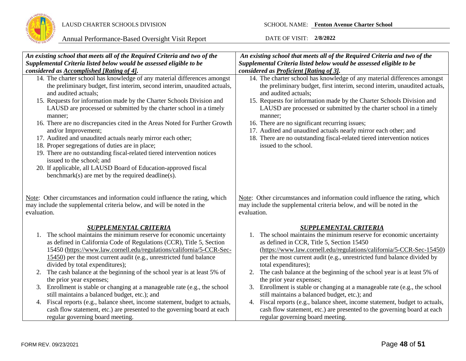

| An existing school that meets all of the Required Criteria and two of the                                                                                                                                                                                                                                                                                                                                                                                                                                                                                                                                                                                                                                                                                                                      | An existing school that meets all of the Required Criteria and two of the                                                                                                                                                                                                                                                                                                                                                                                                                                                                                        |
|------------------------------------------------------------------------------------------------------------------------------------------------------------------------------------------------------------------------------------------------------------------------------------------------------------------------------------------------------------------------------------------------------------------------------------------------------------------------------------------------------------------------------------------------------------------------------------------------------------------------------------------------------------------------------------------------------------------------------------------------------------------------------------------------|------------------------------------------------------------------------------------------------------------------------------------------------------------------------------------------------------------------------------------------------------------------------------------------------------------------------------------------------------------------------------------------------------------------------------------------------------------------------------------------------------------------------------------------------------------------|
| Supplemental Criteria listed below would be assessed eligible to be                                                                                                                                                                                                                                                                                                                                                                                                                                                                                                                                                                                                                                                                                                                            | Supplemental Criteria listed below would be assessed eligible to be                                                                                                                                                                                                                                                                                                                                                                                                                                                                                              |
| considered as Accomplished [Rating of 4].                                                                                                                                                                                                                                                                                                                                                                                                                                                                                                                                                                                                                                                                                                                                                      | considered as Proficient [Rating of 3].                                                                                                                                                                                                                                                                                                                                                                                                                                                                                                                          |
| 14. The charter school has knowledge of any material differences amongst<br>the preliminary budget, first interim, second interim, unaudited actuals,<br>and audited actuals;<br>15. Requests for information made by the Charter Schools Division and<br>LAUSD are processed or submitted by the charter school in a timely<br>manner;<br>16. There are no discrepancies cited in the Areas Noted for Further Growth<br>and/or Improvement;<br>17. Audited and unaudited actuals nearly mirror each other;<br>18. Proper segregations of duties are in place;<br>19. There are no outstanding fiscal-related tiered intervention notices<br>issued to the school; and<br>20. If applicable, all LAUSD Board of Education-approved fiscal<br>benchmark(s) are met by the required deadline(s). | 14. The charter school has knowledge of any material differences amongst<br>the preliminary budget, first interim, second interim, unaudited actuals,<br>and audited actuals;<br>15. Requests for information made by the Charter Schools Division and<br>LAUSD are processed or submitted by the charter school in a timely<br>manner;<br>16. There are no significant recurring issues;<br>17. Audited and unaudited actuals nearly mirror each other; and<br>18. There are no outstanding fiscal-related tiered intervention notices<br>issued to the school. |
| Note: Other circumstances and information could influence the rating, which<br>may include the supplemental criteria below, and will be noted in the<br>evaluation.                                                                                                                                                                                                                                                                                                                                                                                                                                                                                                                                                                                                                            | Note: Other circumstances and information could influence the rating, which<br>may include the supplemental criteria below, and will be noted in the<br>evaluation.                                                                                                                                                                                                                                                                                                                                                                                              |
| <b>SUPPLEMENTAL CRITERIA</b>                                                                                                                                                                                                                                                                                                                                                                                                                                                                                                                                                                                                                                                                                                                                                                   | <b>SUPPLEMENTAL CRITERIA</b>                                                                                                                                                                                                                                                                                                                                                                                                                                                                                                                                     |
| 1. The school maintains the minimum reserve for economic uncertainty<br>as defined in California Code of Regulations (CCR), Title 5, Section<br>15450 (https://www.law.cornell.edu/regulations/california/5-CCR-Sec-<br>15450) per the most current audit (e.g., unrestricted fund balance<br>divided by total expenditures);                                                                                                                                                                                                                                                                                                                                                                                                                                                                  | 1. The school maintains the minimum reserve for economic uncertainty<br>as defined in CCR, Title 5, Section 15450<br>(https://www.law.cornell.edu/regulations/california/5-CCR-Sec-15450)<br>per the most current audit (e.g., unrestricted fund balance divided by<br>total expenditures);                                                                                                                                                                                                                                                                      |
| The cash balance at the beginning of the school year is at least 5% of<br>2.<br>the prior year expenses;                                                                                                                                                                                                                                                                                                                                                                                                                                                                                                                                                                                                                                                                                       | The cash balance at the beginning of the school year is at least 5% of<br>2.<br>the prior year expenses;                                                                                                                                                                                                                                                                                                                                                                                                                                                         |
| 3. Enrollment is stable or changing at a manageable rate (e.g., the school<br>still maintains a balanced budget, etc.); and                                                                                                                                                                                                                                                                                                                                                                                                                                                                                                                                                                                                                                                                    | Enrollment is stable or changing at a manageable rate (e.g., the school<br>3.<br>still maintains a balanced budget, etc.); and                                                                                                                                                                                                                                                                                                                                                                                                                                   |
| 4. Fiscal reports (e.g., balance sheet, income statement, budget to actuals,<br>cash flow statement, etc.) are presented to the governing board at each                                                                                                                                                                                                                                                                                                                                                                                                                                                                                                                                                                                                                                        | 4. Fiscal reports (e.g., balance sheet, income statement, budget to actuals,<br>cash flow statement, etc.) are presented to the governing board at each                                                                                                                                                                                                                                                                                                                                                                                                          |
| regular governing board meeting.                                                                                                                                                                                                                                                                                                                                                                                                                                                                                                                                                                                                                                                                                                                                                               | regular governing board meeting.                                                                                                                                                                                                                                                                                                                                                                                                                                                                                                                                 |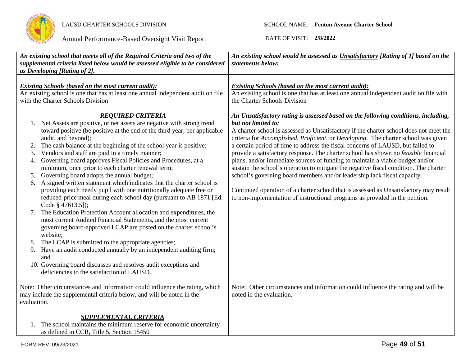

| An existing school that meets all of the Required Criteria and two of the<br>supplemental criteria listed below would be assessed eligible to be considered<br>as Developing [Rating of 2].                                                                                                                                                                                                                                                                                                                                                                                                                                                                                                                                                                                                                                                                                                                                                                                                                                                                                                                                                                                                                          | An existing school would be assessed as Unsatisfactory [Rating of 1] based on the<br>statements below:                                                                                                                                                                                                                                                                                                                                                                                                                                                                                                                                                                                                                                                                                                                                                                                             |
|----------------------------------------------------------------------------------------------------------------------------------------------------------------------------------------------------------------------------------------------------------------------------------------------------------------------------------------------------------------------------------------------------------------------------------------------------------------------------------------------------------------------------------------------------------------------------------------------------------------------------------------------------------------------------------------------------------------------------------------------------------------------------------------------------------------------------------------------------------------------------------------------------------------------------------------------------------------------------------------------------------------------------------------------------------------------------------------------------------------------------------------------------------------------------------------------------------------------|----------------------------------------------------------------------------------------------------------------------------------------------------------------------------------------------------------------------------------------------------------------------------------------------------------------------------------------------------------------------------------------------------------------------------------------------------------------------------------------------------------------------------------------------------------------------------------------------------------------------------------------------------------------------------------------------------------------------------------------------------------------------------------------------------------------------------------------------------------------------------------------------------|
| <b>Existing Schools (based on the most current audit):</b><br>An existing school is one that has at least one annual independent audit on file<br>with the Charter Schools Division                                                                                                                                                                                                                                                                                                                                                                                                                                                                                                                                                                                                                                                                                                                                                                                                                                                                                                                                                                                                                                  | <b>Existing Schools (based on the most current audit):</b><br>An existing school is one that has at least one annual independent audit on file with<br>the Charter Schools Division                                                                                                                                                                                                                                                                                                                                                                                                                                                                                                                                                                                                                                                                                                                |
| <b>REQUIRED CRITERIA</b><br>1. Net Assets are positive, or net assets are negative with strong trend<br>toward positive (be positive at the end of the third year, per applicable<br>audit, and beyond);<br>The cash balance at the beginning of the school year is positive;<br>Vendors and staff are paid in a timely manner;<br>3.<br>Governing board approves Fiscal Policies and Procedures, at a<br>4.<br>minimum, once prior to each charter renewal term;<br>Governing board adopts the annual budget;<br>5.<br>A signed written statement which indicates that the charter school is<br>6.<br>providing each needy pupil with one nutritionally adequate free or<br>reduced-price meal during each school day (pursuant to AB 1871 [Ed.<br>Code § 47613.5]);<br>The Education Protection Account allocation and expenditures, the<br>7.<br>most current Audited Financial Statements, and the most current<br>governing board-approved LCAP are posted on the charter school's<br>website;<br>The LCAP is submitted to the appropriate agencies;<br>8.<br>Have an audit conducted annually by an independent auditing firm;<br>9.<br>and<br>10. Governing board discusses and resolves audit exceptions and | An Unsatisfactory rating is assessed based on the following conditions, including,<br>but not limited to:<br>A charter school is assessed as Unsatisfactory if the charter school does not meet the<br>criteria for Accomplished, Proficient, or Developing. The charter school was given<br>a certain period of time to address the fiscal concerns of LAUSD, but failed to<br>provide a satisfactory response. The charter school has shown no feasible financial<br>plans, and/or immediate sources of funding to maintain a viable budget and/or<br>sustain the school's operation to mitigate the negative fiscal condition. The charter<br>school's governing board members and/or leadership lack fiscal capacity.<br>Continued operation of a charter school that is assessed as Unsatisfactory may result<br>to non-implementation of instructional programs as provided in the petition. |
| deficiencies to the satisfaction of LAUSD.<br>Note: Other circumstances and information could influence the rating, which<br>may include the supplemental criteria below, and will be noted in the<br>evaluation.                                                                                                                                                                                                                                                                                                                                                                                                                                                                                                                                                                                                                                                                                                                                                                                                                                                                                                                                                                                                    | Note: Other circumstances and information could influence the rating and will be<br>noted in the evaluation.                                                                                                                                                                                                                                                                                                                                                                                                                                                                                                                                                                                                                                                                                                                                                                                       |
| <b>SUPPLEMENTAL CRITERIA</b><br>1. The school maintains the minimum reserve for economic uncertainty<br>as defined in CCR, Title 5, Section 15450                                                                                                                                                                                                                                                                                                                                                                                                                                                                                                                                                                                                                                                                                                                                                                                                                                                                                                                                                                                                                                                                    |                                                                                                                                                                                                                                                                                                                                                                                                                                                                                                                                                                                                                                                                                                                                                                                                                                                                                                    |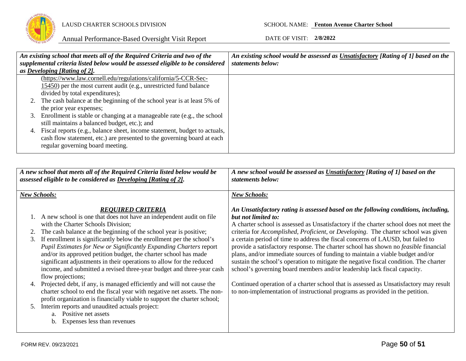

|    | An existing school that meets all of the Required Criteria and two of the      | An existing school would be assessed as Unsatisfactory [Rating of 1] based on the |
|----|--------------------------------------------------------------------------------|-----------------------------------------------------------------------------------|
|    | supplemental criteria listed below would be assessed eligible to be considered | statements below:                                                                 |
|    | as Developing [Rating of 2].                                                   |                                                                                   |
|    | (https://www.law.cornell.edu/regulations/california/5-CCR-Sec-                 |                                                                                   |
|    | 15450) per the most current audit (e.g., unrestricted fund balance             |                                                                                   |
|    | divided by total expenditures);                                                |                                                                                   |
|    | 2. The cash balance at the beginning of the school year is at least 5% of      |                                                                                   |
|    | the prior year expenses;                                                       |                                                                                   |
|    | 3. Enrollment is stable or changing at a manageable rate (e.g., the school     |                                                                                   |
|    | still maintains a balanced budget, etc.); and                                  |                                                                                   |
| 4. | Fiscal reports (e.g., balance sheet, income statement, budget to actuals,      |                                                                                   |
|    | cash flow statement, etc.) are presented to the governing board at each        |                                                                                   |
|    | regular governing board meeting.                                               |                                                                                   |
|    |                                                                                |                                                                                   |

|          | A new school that meets all of the Required Criteria listed below would be<br>assessed eligible to be considered as Developing [Rating of 2].                                                                                                                                                                                                                                                                                                                                                                                                                                                                                                                                  | A new school would be assessed as Unsatisfactory [Rating of 1] based on the<br>statements below:                                                                                                                                                                                                                                                                                                                                                                                                                                                                                                                                                                                                                                                                                                                                          |  |  |
|----------|--------------------------------------------------------------------------------------------------------------------------------------------------------------------------------------------------------------------------------------------------------------------------------------------------------------------------------------------------------------------------------------------------------------------------------------------------------------------------------------------------------------------------------------------------------------------------------------------------------------------------------------------------------------------------------|-------------------------------------------------------------------------------------------------------------------------------------------------------------------------------------------------------------------------------------------------------------------------------------------------------------------------------------------------------------------------------------------------------------------------------------------------------------------------------------------------------------------------------------------------------------------------------------------------------------------------------------------------------------------------------------------------------------------------------------------------------------------------------------------------------------------------------------------|--|--|
|          | <b>New Schools:</b>                                                                                                                                                                                                                                                                                                                                                                                                                                                                                                                                                                                                                                                            | <b>New Schools:</b>                                                                                                                                                                                                                                                                                                                                                                                                                                                                                                                                                                                                                                                                                                                                                                                                                       |  |  |
| 3.       | <b>REOUIRED CRITERIA</b><br>1. A new school is one that does not have an independent audit on file<br>with the Charter Schools Division;<br>The cash balance at the beginning of the school year is positive;<br>If enrollment is significantly below the enrollment per the school's<br>Pupil Estimates for New or Significantly Expanding Charters report<br>and/or its approved petition budget, the charter school has made<br>significant adjustments in their operations to allow for the reduced<br>income, and submitted a revised three-year budget and three-year cash<br>flow projections;<br>Projected debt, if any, is managed efficiently and will not cause the | An Unsatisfactory rating is assessed based on the following conditions, including,<br>but not limited to:<br>A charter school is assessed as Unsatisfactory if the charter school does not meet the<br>criteria for <i>Accomplished, Proficient</i> , or <i>Developing</i> . The charter school was given<br>a certain period of time to address the fiscal concerns of LAUSD, but failed to<br>provide a satisfactory response. The charter school has shown no <i>feasible</i> financial<br>plans, and/or immediate sources of funding to maintain a viable budget and/or<br>sustain the school's operation to mitigate the negative fiscal condition. The charter<br>school's governing board members and/or leadership lack fiscal capacity.<br>Continued operation of a charter school that is assessed as Unsatisfactory may result |  |  |
| 4.<br>5. | charter school to end the fiscal year with negative net assets. The non-<br>profit organization is financially viable to support the charter school;<br>Interim reports and unaudited actuals project:<br>a. Positive net assets<br>Expenses less than revenues<br>b.                                                                                                                                                                                                                                                                                                                                                                                                          | to non-implementation of instructional programs as provided in the petition.                                                                                                                                                                                                                                                                                                                                                                                                                                                                                                                                                                                                                                                                                                                                                              |  |  |